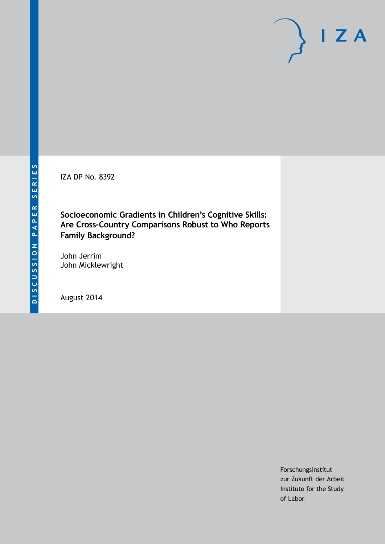IZA DP No. 8392

**Socioeconomic Gradients in Children's Cognitive Skills: Are Cross-Country Comparisons Robust to Who Reports Family Background?**

John Jerrim John Micklewright

August 2014

Forschungsinstitut zur Zukunft der Arbeit Institute for the Study of Labor

 $I Z A$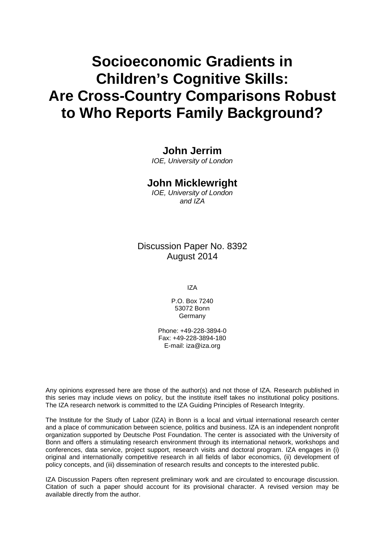# **Socioeconomic Gradients in Children's Cognitive Skills: Are Cross-Country Comparisons Robust to Who Reports Family Background?**

# **John Jerrim**

*IOE, University of London*

# **John Micklewright**

*IOE, University of London and IZA*

Discussion Paper No. 8392 August 2014

IZA

P.O. Box 7240 53072 Bonn Germany

Phone: +49-228-3894-0 Fax: +49-228-3894-180 E-mail: [iza@iza.org](mailto:iza@iza.org)

Any opinions expressed here are those of the author(s) and not those of IZA. Research published in this series may include views on policy, but the institute itself takes no institutional policy positions. The IZA research network is committed to the IZA Guiding Principles of Research Integrity.

The Institute for the Study of Labor (IZA) in Bonn is a local and virtual international research center and a place of communication between science, politics and business. IZA is an independent nonprofit organization supported by Deutsche Post Foundation. The center is associated with the University of Bonn and offers a stimulating research environment through its international network, workshops and conferences, data service, project support, research visits and doctoral program. IZA engages in (i) original and internationally competitive research in all fields of labor economics, (ii) development of policy concepts, and (iii) dissemination of research results and concepts to the interested public.

<span id="page-1-0"></span>IZA Discussion Papers often represent preliminary work and are circulated to encourage discussion. Citation of such a paper should account for its provisional character. A revised version may be available directly from the author.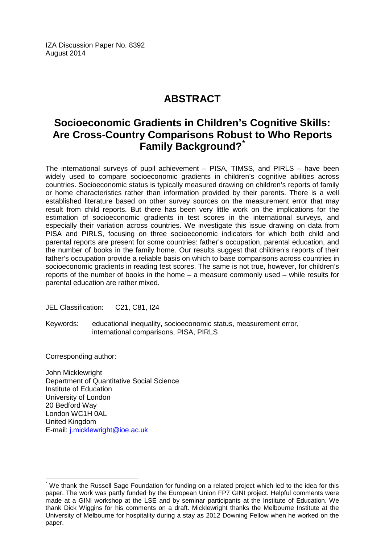IZA Discussion Paper No. 8392 August 2014

# **ABSTRACT**

# **Socioeconomic Gradients in Children's Cognitive Skills: Are Cross-Country Comparisons Robust to Who Reports Family Background?[\\*](#page-1-0)**

The international surveys of pupil achievement – PISA, TIMSS, and PIRLS – have been widely used to compare socioeconomic gradients in children's cognitive abilities across countries. Socioeconomic status is typically measured drawing on children's reports of family or home characteristics rather than information provided by their parents. There is a well established literature based on other survey sources on the measurement error that may result from child reports. But there has been very little work on the implications for the estimation of socioeconomic gradients in test scores in the international surveys, and especially their variation across countries. We investigate this issue drawing on data from PISA and PIRLS, focusing on three socioeconomic indicators for which both child and parental reports are present for some countries: father's occupation, parental education, and the number of books in the family home. Our results suggest that children's reports of their father's occupation provide a reliable basis on which to base comparisons across countries in socioeconomic gradients in reading test scores. The same is not true, however, for children's reports of the number of books in the home – a measure commonly used – while results for parental education are rather mixed.

JEL Classification: C21, C81, I24

Keywords: educational inequality, socioeconomic status, measurement error, international comparisons, PISA, PIRLS

Corresponding author:

John Micklewright Department of Quantitative Social Science Institute of Education University of London 20 Bedford Way London WC1H 0AL United Kingdom E-mail: [j.micklewright@ioe.ac.uk](mailto:j.micklewright@ioe.ac.uk)

We thank the Russell Sage Foundation for funding on a related project which led to the idea for this paper. The work was partly funded by the European Union FP7 GINI project. Helpful comments were made at a GINI workshop at the LSE and by seminar participants at the Institute of Education. We thank Dick Wiggins for his comments on a draft. Micklewright thanks the Melbourne Institute at the University of Melbourne for hospitality during a stay as 2012 Downing Fellow when he worked on the paper.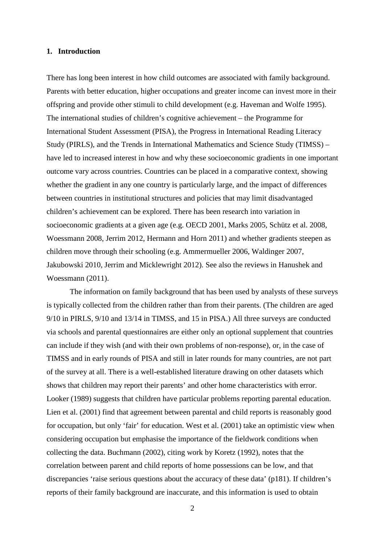#### **1. Introduction**

There has long been interest in how child outcomes are associated with family background. Parents with better education, higher occupations and greater income can invest more in their offspring and provide other stimuli to child development (e.g. Haveman and Wolfe 1995). The international studies of children's cognitive achievement – the Programme for International Student Assessment (PISA), the Progress in International Reading Literacy Study (PIRLS), and the Trends in International Mathematics and Science Study (TIMSS) – have led to increased interest in how and why these socioeconomic gradients in one important outcome vary across countries. Countries can be placed in a comparative context, showing whether the gradient in any one country is particularly large, and the impact of differences between countries in institutional structures and policies that may limit disadvantaged children's achievement can be explored. There has been research into variation in socioeconomic gradients at a given age (e.g. OECD 2001, Marks 2005, Schütz et al. 2008, Woessmann 2008, Jerrim 2012, Hermann and Horn 2011) and whether gradients steepen as children move through their schooling (e.g. Ammermueller 2006, Waldinger 2007, Jakubowski 2010, Jerrim and Micklewright 2012). See also the reviews in Hanushek and Woessmann (2011).

The information on family background that has been used by analysts of these surveys is typically collected from the children rather than from their parents. (The children are aged 9/10 in PIRLS, 9/10 and 13/14 in TIMSS, and 15 in PISA.) All three surveys are conducted via schools and parental questionnaires are either only an optional supplement that countries can include if they wish (and with their own problems of non-response), or, in the case of TIMSS and in early rounds of PISA and still in later rounds for many countries, are not part of the survey at all. There is a well-established literature drawing on other datasets which shows that children may report their parents' and other home characteristics with error. Looker (1989) suggests that children have particular problems reporting parental education. Lien et al. (2001) find that agreement between parental and child reports is reasonably good for occupation, but only 'fair' for education. West et al. (2001) take an optimistic view when considering occupation but emphasise the importance of the fieldwork conditions when collecting the data. Buchmann (2002), citing work by Koretz (1992), notes that the correlation between parent and child reports of home possessions can be low, and that discrepancies 'raise serious questions about the accuracy of these data' (p181). If children's reports of their family background are inaccurate, and this information is used to obtain

2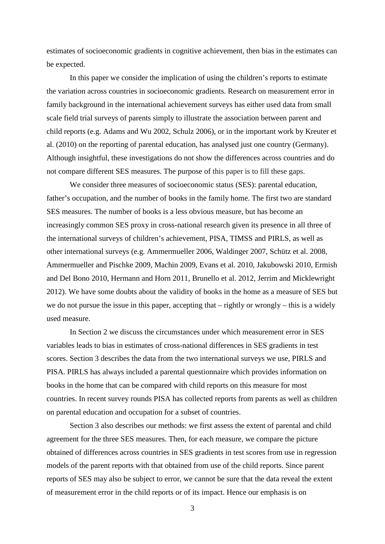estimates of socioeconomic gradients in cognitive achievement, then bias in the estimates can be expected.

In this paper we consider the implication of using the children's reports to estimate the variation across countries in socioeconomic gradients. Research on measurement error in family background in the international achievement surveys has either used data from small scale field trial surveys of parents simply to illustrate the association between parent and child reports (e.g. Adams and Wu 2002, Schulz 2006), or in the important work by Kreuter et al. (2010) on the reporting of parental education, has analysed just one country (Germany). Although insightful, these investigations do not show the differences across countries and do not compare different SES measures. The purpose of this paper is to fill these gaps.

We consider three measures of socioeconomic status (SES): parental education, father's occupation, and the number of books in the family home. The first two are standard SES measures. The number of books is a less obvious measure, but has become an increasingly common SES proxy in cross-national research given its presence in all three of the international surveys of children's achievement, PISA, TIMSS and PIRLS, as well as other international surveys (e.g. Ammermueller 2006, Waldinger 2007, Schütz et al. 2008, Ammermueller and Pischke 2009, Machin 2009, Evans et al. 2010, Jakubowski 2010, Ermish and Del Bono 2010, Hermann and Horn 2011, Brunello et al. 2012, Jerrim and Micklewright 2012). We have some doubts about the validity of books in the home as a measure of SES but we do not pursue the issue in this paper, accepting that – rightly or wrongly – this is a widely used measure.

In Section 2 we discuss the circumstances under which measurement error in SES variables leads to bias in estimates of cross-national differences in SES gradients in test scores. Section 3 describes the data from the two international surveys we use, PIRLS and PISA. PIRLS has always included a parental questionnaire which provides information on books in the home that can be compared with child reports on this measure for most countries. In recent survey rounds PISA has collected reports from parents as well as children on parental education and occupation for a subset of countries.

Section 3 also describes our methods: we first assess the extent of parental and child agreement for the three SES measures. Then, for each measure, we compare the picture obtained of differences across countries in SES gradients in test scores from use in regression models of the parent reports with that obtained from use of the child reports. Since parent reports of SES may also be subject to error, we cannot be sure that the data reveal the extent of measurement error in the child reports or of its impact. Hence our emphasis is on

3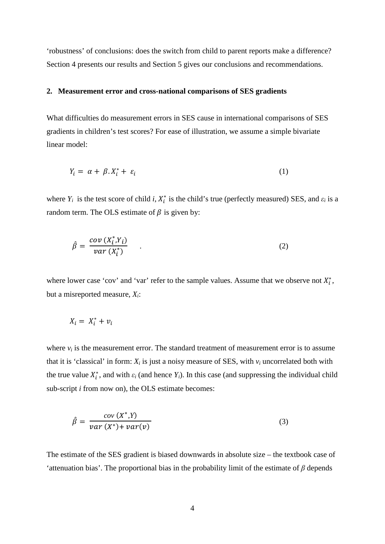'robustness' of conclusions: does the switch from child to parent reports make a difference? Section 4 presents our results and Section 5 gives our conclusions and recommendations.

#### **2. Measurement error and cross-national comparisons of SES gradients**

What difficulties do measurement errors in SES cause in international comparisons of SES gradients in children's test scores? For ease of illustration, we assume a simple bivariate linear model:

$$
Y_i = \alpha + \beta \cdot X_i^* + \varepsilon_i \tag{1}
$$

where  $Y_i$  is the test score of child *i*,  $X_i^*$  is the child's true (perfectly measured) SES, and  $\varepsilon_i$  is a random term. The OLS estimate of  $\beta$  is given by:

$$
\hat{\beta} = \frac{cov(X_i^*, Y_i)}{var(X_i^*)} \qquad . \tag{2}
$$

where lower case 'cov' and 'var' refer to the sample values. Assume that we observe not  $X_i^*$ , but a misreported measure, *Xi*:

$$
X_i = X_i^* + v_i
$$

where  $v_i$  is the measurement error. The standard treatment of measurement error is to assume that it is 'classical' in form:  $X_i$  is just a noisy measure of SES, with  $v_i$  uncorrelated both with the true value  $X_i^*$ , and with  $\varepsilon_i$  (and hence  $Y_i$ ). In this case (and suppressing the individual child sub-script *i* from now on), the OLS estimate becomes:

$$
\hat{\beta} = \frac{cov(X^*, Y)}{var(X^*) + var(v)}
$$
\n(3)

The estimate of the SES gradient is biased downwards in absolute size – the textbook case of 'attenuation bias'. The proportional bias in the probability limit of the estimate of *β* depends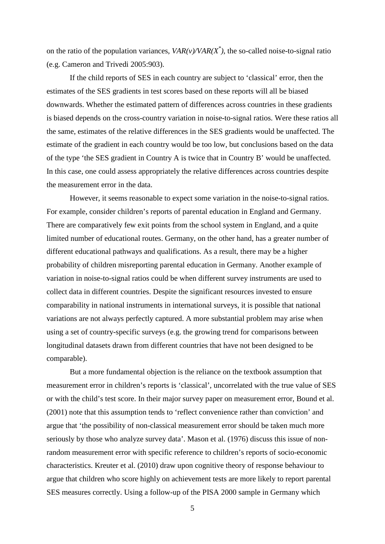on the ratio of the population variances,  $VAR(v)/VAR(X^*)$ , the so-called noise-to-signal ratio (e.g. Cameron and Trivedi 2005:903).

If the child reports of SES in each country are subject to 'classical' error, then the estimates of the SES gradients in test scores based on these reports will all be biased downwards. Whether the estimated pattern of differences across countries in these gradients is biased depends on the cross-country variation in noise-to-signal ratios. Were these ratios all the same, estimates of the relative differences in the SES gradients would be unaffected. The estimate of the gradient in each country would be too low, but conclusions based on the data of the type 'the SES gradient in Country A is twice that in Country B' would be unaffected. In this case, one could assess appropriately the relative differences across countries despite the measurement error in the data.

However, it seems reasonable to expect some variation in the noise-to-signal ratios. For example, consider children's reports of parental education in England and Germany. There are comparatively few exit points from the school system in England, and a quite limited number of educational routes. Germany, on the other hand, has a greater number of different educational pathways and qualifications. As a result, there may be a higher probability of children misreporting parental education in Germany. Another example of variation in noise-to-signal ratios could be when different survey instruments are used to collect data in different countries. Despite the significant resources invested to ensure comparability in national instruments in international surveys, it is possible that national variations are not always perfectly captured. A more substantial problem may arise when using a set of country-specific surveys (e.g. the growing trend for comparisons between longitudinal datasets drawn from different countries that have not been designed to be comparable).

But a more fundamental objection is the reliance on the textbook assumption that measurement error in children's reports is 'classical', uncorrelated with the true value of SES or with the child's test score. In their major survey paper on measurement error, Bound et al. (2001) note that this assumption tends to 'reflect convenience rather than conviction' and argue that 'the possibility of non-classical measurement error should be taken much more seriously by those who analyze survey data'. Mason et al. (1976) discuss this issue of nonrandom measurement error with specific reference to children's reports of socio-economic characteristics. Kreuter et al. (2010) draw upon cognitive theory of response behaviour to argue that children who score highly on achievement tests are more likely to report parental SES measures correctly. Using a follow-up of the PISA 2000 sample in Germany which

5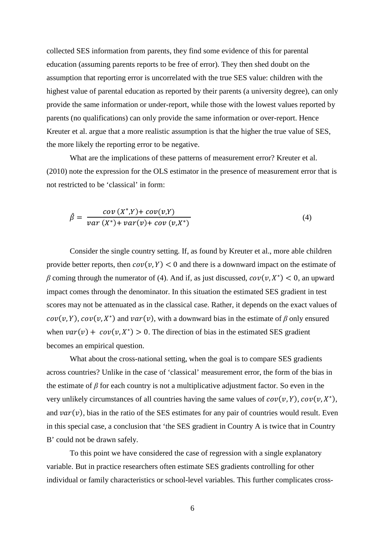collected SES information from parents, they find some evidence of this for parental education (assuming parents reports to be free of error). They then shed doubt on the assumption that reporting error is uncorrelated with the true SES value: children with the highest value of parental education as reported by their parents (a university degree), can only provide the same information or under-report, while those with the lowest values reported by parents (no qualifications) can only provide the same information or over-report. Hence Kreuter et al. argue that a more realistic assumption is that the higher the true value of SES, the more likely the reporting error to be negative.

What are the implications of these patterns of measurement error? Kreuter et al. (2010) note the expression for the OLS estimator in the presence of measurement error that is not restricted to be 'classical' in form:

$$
\hat{\beta} = \frac{cov(X^*,Y) + cov(v,Y)}{var(X^*) + var(v) + cov(v,X^*)}
$$
\n(4)

Consider the single country setting. If, as found by Kreuter et al., more able children provide better reports, then  $cov(v, Y) < 0$  and there is a downward impact on the estimate of *β* coming through the numerator of (4). And if, as just discussed,  $cov(v, X^*)$  < 0, an upward impact comes through the denominator. In this situation the estimated SES gradient in test scores may not be attenuated as in the classical case. Rather, it depends on the exact values of  $cov(v, Y)$ ,  $cov(v, X^*)$  and  $var(v)$ , with a downward bias in the estimate of *β* only ensured when  $var(v) + cov(v, X^*) > 0$ . The direction of bias in the estimated SES gradient becomes an empirical question.

What about the cross-national setting, when the goal is to compare SES gradients across countries? Unlike in the case of 'classical' measurement error, the form of the bias in the estimate of *β* for each country is not a multiplicative adjustment factor. So even in the very unlikely circumstances of all countries having the same values of  $cov(v, Y)$ ,  $cov(v, X^*)$ , and  $var(v)$ , bias in the ratio of the SES estimates for any pair of countries would result. Even in this special case, a conclusion that 'the SES gradient in Country A is twice that in Country B' could not be drawn safely.

To this point we have considered the case of regression with a single explanatory variable. But in practice researchers often estimate SES gradients controlling for other individual or family characteristics or school-level variables. This further complicates cross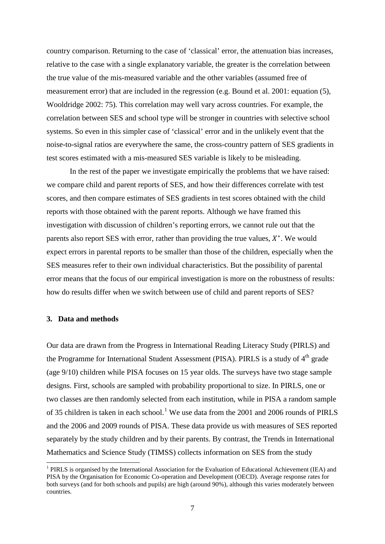country comparison. Returning to the case of 'classical' error, the attenuation bias increases, relative to the case with a single explanatory variable, the greater is the correlation between the true value of the mis-measured variable and the other variables (assumed free of measurement error) that are included in the regression (e.g. Bound et al. 2001: equation (5), Wooldridge 2002: 75). This correlation may well vary across countries. For example, the correlation between SES and school type will be stronger in countries with selective school systems. So even in this simpler case of 'classical' error and in the unlikely event that the noise-to-signal ratios are everywhere the same, the cross-country pattern of SES gradients in test scores estimated with a mis-measured SES variable is likely to be misleading.

In the rest of the paper we investigate empirically the problems that we have raised: we compare child and parent reports of SES, and how their differences correlate with test scores, and then compare estimates of SES gradients in test scores obtained with the child reports with those obtained with the parent reports. Although we have framed this investigation with discussion of children's reporting errors, we cannot rule out that the parents also report SES with error, rather than providing the true values,  $X^*$ . We would expect errors in parental reports to be smaller than those of the children, especially when the SES measures refer to their own individual characteristics. But the possibility of parental error means that the focus of our empirical investigation is more on the robustness of results: how do results differ when we switch between use of child and parent reports of SES?

#### **3. Data and methods**

Our data are drawn from the Progress in International Reading Literacy Study (PIRLS) and the Programme for International Student Assessment (PISA). PIRLS is a study of 4<sup>th</sup> grade (age 9/10) children while PISA focuses on 15 year olds. The surveys have two stage sample designs. First, schools are sampled with probability proportional to size. In PIRLS, one or two classes are then randomly selected from each institution, while in PISA a random sample of 35 children is taken in each school.<sup>[1](#page-19-0)</sup> We use data from the 2001 and 2006 rounds of PIRLS and the 2006 and 2009 rounds of PISA. These data provide us with measures of SES reported separately by the study children and by their parents. By contrast, the Trends in International Mathematics and Science Study (TIMSS) collects information on SES from the study

<span id="page-8-0"></span><sup>1</sup> PIRLS is organised by the International Association for the Evaluation of Educational Achievement (IEA) and PISA by the Organisation for Economic Co-operation and Development (OECD). Average response rates for both surveys (and for both schools and pupils) are high (around 90%), although this varies moderately between countries.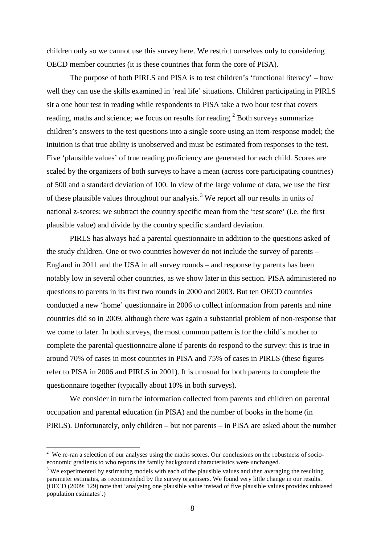children only so we cannot use this survey here. We restrict ourselves only to considering OECD member countries (it is these countries that form the core of PISA).

The purpose of both PIRLS and PISA is to test children's 'functional literacy' – how well they can use the skills examined in 'real life' situations. Children participating in PIRLS sit a one hour test in reading while respondents to PISA take a two hour test that covers reading, maths and science; we focus on results for reading.<sup>[2](#page-8-0)</sup> Both surveys summarize children's answers to the test questions into a single score using an item-response model; the intuition is that true ability is unobserved and must be estimated from responses to the test. Five 'plausible values' of true reading proficiency are generated for each child. Scores are scaled by the organizers of both surveys to have a mean (across core participating countries) of 500 and a standard deviation of 100. In view of the large volume of data, we use the first of these plausible values throughout our analysis.<sup>[3](#page-9-0)</sup> We report all our results in units of national z-scores: we subtract the country specific mean from the 'test score' (i.e. the first plausible value) and divide by the country specific standard deviation.

PIRLS has always had a parental questionnaire in addition to the questions asked of the study children. One or two countries however do not include the survey of parents – England in 2011 and the USA in all survey rounds – and response by parents has been notably low in several other countries, as we show later in this section. PISA administered no questions to parents in its first two rounds in 2000 and 2003. But ten OECD countries conducted a new 'home' questionnaire in 2006 to collect information from parents and nine countries did so in 2009, although there was again a substantial problem of non-response that we come to later. In both surveys, the most common pattern is for the child's mother to complete the parental questionnaire alone if parents do respond to the survey: this is true in around 70% of cases in most countries in PISA and 75% of cases in PIRLS (these figures refer to PISA in 2006 and PIRLS in 2001). It is unusual for both parents to complete the questionnaire together (typically about 10% in both surveys).

We consider in turn the information collected from parents and children on parental occupation and parental education (in PISA) and the number of books in the home (in PIRLS). Unfortunately, only children – but not parents – in PISA are asked about the number

 $\frac{1}{2}$ <sup>2</sup> We re-ran a selection of our analyses using the maths scores. Our conclusions on the robustness of socioeconomic gradients to who reports the family background characteristics were unchanged.

<span id="page-9-1"></span><span id="page-9-0"></span><sup>&</sup>lt;sup>3</sup> We experimented by estimating models with each of the plausible values and then averaging the resulting parameter estimates, as recommended by the survey organisers. We found very little change in our results. (OECD (2009: 129) note that 'analysing one plausible value instead of five plausible values provides unbiased population estimates'.)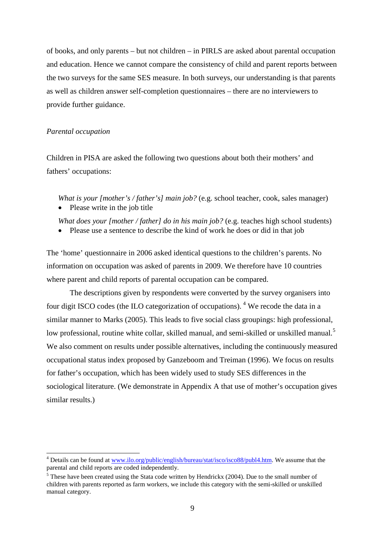of books, and only parents – but not children – in PIRLS are asked about parental occupation and education. Hence we cannot compare the consistency of child and parent reports between the two surveys for the same SES measure. In both surveys, our understanding is that parents as well as children answer self-completion questionnaires – there are no interviewers to provide further guidance.

#### *Parental occupation*

Children in PISA are asked the following two questions about both their mothers' and fathers' occupations:

*What is your [mother's / father's] main job?* (e.g. school teacher, cook, sales manager)

• Please write in the job title

*What does your [mother / father] do in his main job?* (e.g. teaches high school students)

• Please use a sentence to describe the kind of work he does or did in that job

The 'home' questionnaire in 2006 asked identical questions to the children's parents. No information on occupation was asked of parents in 2009. We therefore have 10 countries where parent and child reports of parental occupation can be compared.

The descriptions given by respondents were converted by the survey organisers into four digit ISCO codes (the ILO categorization of occupations). <sup>[4](#page-9-1)</sup> We recode the data in a similar manner to Marks (2005). This leads to five social class groupings: high professional, low professional, routine white collar, skilled manual, and semi-skilled or unskilled manual.<sup>[5](#page-10-0)</sup> We also comment on results under possible alternatives, including the continuously measured occupational status index proposed by Ganzeboom and Treiman (1996). We focus on results for father's occupation, which has been widely used to study SES differences in the sociological literature. (We demonstrate in Appendix A that use of mother's occupation gives similar results.)

<sup>&</sup>lt;sup>4</sup> Details can be found at [www.ilo.org/public/english/bureau/stat/isco/isco88/publ4.htm.](http://www.ilo.org/public/english/bureau/stat/isco/isco88/publ4.htm) We assume that the parental and child reports are coded independently.

<span id="page-10-1"></span><span id="page-10-0"></span> $<sup>5</sup>$  These have been created using the Stata code written by Hendrickx (2004). Due to the small number of</sup> children with parents reported as farm workers, we include this category with the semi-skilled or unskilled manual category.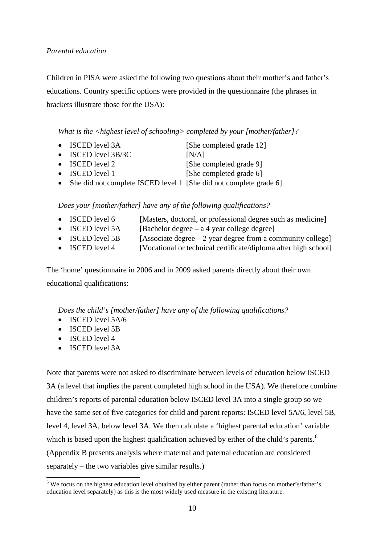# *Parental education*

Children in PISA were asked the following two questions about their mother's and father's educations. Country specific options were provided in the questionnaire (the phrases in brackets illustrate those for the USA):

*What is the <highest level of schooling> completed by your [mother/father]?*

- ISCED level 3A [She completed grade 12]
- ISCED level 3B/3C [N/A]

- ISCED level 2 [She completed grade 9]
- ISCED level 1 [She completed grade 6]
- She did not complete ISCED level 1 [She did not complete grade 6]

*Does your [mother/father] have any of the following qualifications?*

- ISCED level 6 [Masters, doctoral, or professional degree such as medicine]
- ISCED level  $5A$  [Bachelor degree a 4 year college degree]
- ISCED level 5B [Associate degree  $-2$  year degree from a community college]
- ISCED level 4 [Vocational or technical certificate/diploma after high school]

The 'home' questionnaire in 2006 and in 2009 asked parents directly about their own educational qualifications:

*Does the child's [mother/father] have any of the following qualifications?*

- ISCED level 5A/6
- ISCED level 5B
- ISCED level 4
- ISCED level 3A

Note that parents were not asked to discriminate between levels of education below ISCED 3A (a level that implies the parent completed high school in the USA). We therefore combine children's reports of parental education below ISCED level 3A into a single group so we have the same set of five categories for child and parent reports: ISCED level 5A/6, level 5B, level 4, level 3A, below level 3A. We then calculate a 'highest parental education' variable which is based upon the highest qualification achieved by either of the child's parents.<sup>[6](#page-10-1)</sup> (Appendix B presents analysis where maternal and paternal education are considered separately – the two variables give similar results.)

<span id="page-11-0"></span><sup>&</sup>lt;sup>6</sup> We focus on the highest education level obtained by either parent (rather than focus on mother's/father's education level separately) as this is the most widely used measure in the existing literature.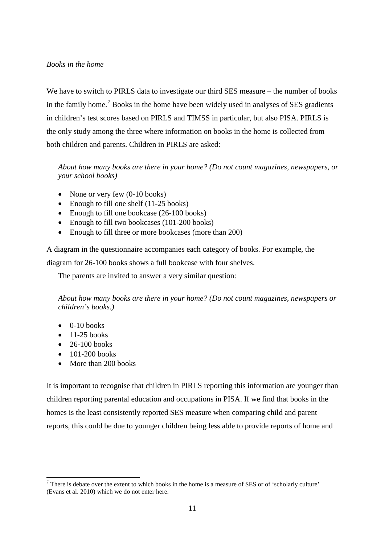# *Books in the home*

We have to switch to PIRLS data to investigate our third SES measure – the number of books in the family home.<sup>[7](#page-11-0)</sup> Books in the home have been widely used in analyses of SES gradients in children's test scores based on PIRLS and TIMSS in particular, but also PISA. PIRLS is the only study among the three where information on books in the home is collected from both children and parents. Children in PIRLS are asked:

*About how many books are there in your home? (Do not count magazines, newspapers, or your school books)*

- None or very few (0-10 books)
- Enough to fill one shelf (11-25 books)
- Enough to fill one bookcase (26-100 books)
- Enough to fill two bookcases (101-200 books)
- Enough to fill three or more bookcases (more than 200)

A diagram in the questionnaire accompanies each category of books. For example, the diagram for 26-100 books shows a full bookcase with four shelves.

The parents are invited to answer a very similar question:

*About how many books are there in your home? (Do not count magazines, newspapers or children's books.)*

- $\bullet$  0-10 books
- $\bullet$  11-25 books
- $\bullet$  26-100 books
- $\bullet$  101-200 books
- More than 200 books

It is important to recognise that children in PIRLS reporting this information are younger than children reporting parental education and occupations in PISA. If we find that books in the homes is the least consistently reported SES measure when comparing child and parent reports, this could be due to younger children being less able to provide reports of home and

<span id="page-12-0"></span><sup>7</sup> There is debate over the extent to which books in the home is a measure of SES or of 'scholarly culture' (Evans et al. 2010) which we do not enter here.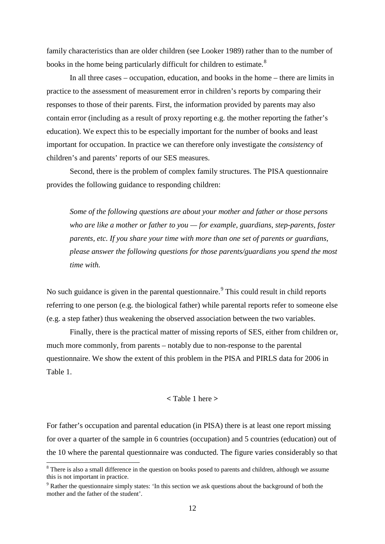family characteristics than are older children (see Looker 1989) rather than to the number of books in the home being particularly difficult for children to estimate.<sup>[8](#page-12-0)</sup>

In all three cases – occupation, education, and books in the home – there are limits in practice to the assessment of measurement error in children's reports by comparing their responses to those of their parents. First, the information provided by parents may also contain error (including as a result of proxy reporting e.g. the mother reporting the father's education). We expect this to be especially important for the number of books and least important for occupation. In practice we can therefore only investigate the *consistency* of children's and parents' reports of our SES measures.

Second, there is the problem of complex family structures. The PISA questionnaire provides the following guidance to responding children:

*Some of the following questions are about your mother and father or those persons who are like a mother or father to you — for example, guardians, step-parents, foster parents, etc. If you share your time with more than one set of parents or guardians, please answer the following questions for those parents/guardians you spend the most time with.*

No such guidance is given in the parental questionnaire.<sup>[9](#page-13-0)</sup> This could result in child reports referring to one person (e.g. the biological father) while parental reports refer to someone else (e.g. a step father) thus weakening the observed association between the two variables.

Finally, there is the practical matter of missing reports of SES, either from children or, much more commonly, from parents – notably due to non-response to the parental questionnaire. We show the extent of this problem in the PISA and PIRLS data for 2006 in Table 1.

#### **<** Table 1 here **>**

<span id="page-13-1"></span>For father's occupation and parental education (in PISA) there is at least one report missing for over a quarter of the sample in 6 countries (occupation) and 5 countries (education) out of the 10 where the parental questionnaire was conducted. The figure varies considerably so that

<sup>&</sup>lt;sup>8</sup> There is also a small difference in the question on books posed to parents and children, although we assume this is not important in practice.

<span id="page-13-0"></span><sup>9</sup> Rather the questionnaire simply states: 'In this section we ask questions about the background of both the mother and the father of the student'.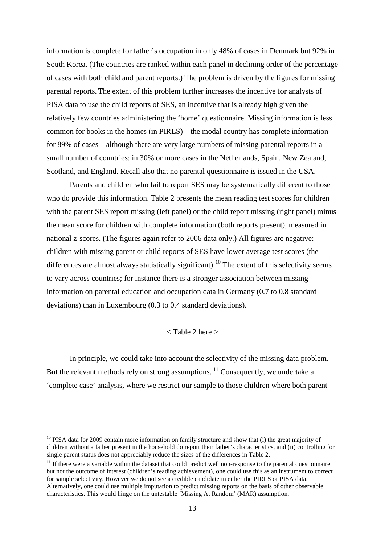information is complete for father's occupation in only 48% of cases in Denmark but 92% in South Korea. (The countries are ranked within each panel in declining order of the percentage of cases with both child and parent reports.) The problem is driven by the figures for missing parental reports. The extent of this problem further increases the incentive for analysts of PISA data to use the child reports of SES, an incentive that is already high given the relatively few countries administering the 'home' questionnaire. Missing information is less common for books in the homes (in PIRLS) – the modal country has complete information for 89% of cases – although there are very large numbers of missing parental reports in a small number of countries: in 30% or more cases in the Netherlands, Spain, New Zealand, Scotland, and England. Recall also that no parental questionnaire is issued in the USA.

Parents and children who fail to report SES may be systematically different to those who do provide this information. Table 2 presents the mean reading test scores for children with the parent SES report missing (left panel) or the child report missing (right panel) minus the mean score for children with complete information (both reports present), measured in national z-scores. (The figures again refer to 2006 data only.) All figures are negative: children with missing parent or child reports of SES have lower average test scores (the differences are almost always statistically significant).<sup>[10](#page-13-1)</sup> The extent of this selectivity seems to vary across countries; for instance there is a stronger association between missing information on parental education and occupation data in Germany (0.7 to 0.8 standard deviations) than in Luxembourg (0.3 to 0.4 standard deviations).

# < Table 2 here >

In principle, we could take into account the selectivity of the missing data problem. But the relevant methods rely on strong assumptions.  $\frac{11}{11}$  $\frac{11}{11}$  $\frac{11}{11}$  Consequently, we undertake a 'complete case' analysis, where we restrict our sample to those children where both parent

<sup>&</sup>lt;sup>10</sup> PISA data for 2009 contain more information on family structure and show that (i) the great majority of children without a father present in the household do report their father's characteristics, and (ii) controlling for single parent status does not appreciably reduce the sizes of the differences in Table 2.

<span id="page-14-1"></span><span id="page-14-0"></span> $11$  If there were a variable within the dataset that could predict well non-response to the parental questionnaire but not the outcome of interest (children's reading achievement), one could use this as an instrument to correct for sample selectivity. However we do not see a credible candidate in either the PIRLS or PISA data. Alternatively, one could use multiple imputation to predict missing reports on the basis of other observable characteristics. This would hinge on the untestable 'Missing At Random' (MAR) assumption.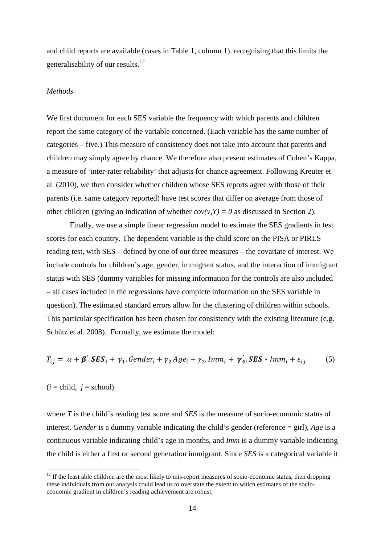and child reports are available (cases in Table 1, column 1), recognising that this limits the generalisability of our results.<sup>[12](#page-14-1)</sup>

#### *Methods*

We first document for each SES variable the frequency with which parents and children report the same category of the variable concerned. (Each variable has the same number of categories – five.) This measure of consistency does not take into account that parents and children may simply agree by chance. We therefore also present estimates of Cohen's Kappa, a measure of 'inter-rater reliability' that adjusts for chance agreement. Following Kreuter et al. (2010), we then consider whether children whose SES reports agree with those of their parents (i.e. same category reported) have test scores that differ on average from those of other children (giving an indication of whether  $cov(v, Y) = 0$  as discussed in Section 2).

Finally, we use a simple linear regression model to estimate the SES gradients in test scores for each country. The dependent variable is the child score on the PISA or PIRLS reading test, with SES – defined by one of our three measures – the covariate of interest. We include controls for children's age, gender, immigrant status, and the interaction of immigrant status with SES (dummy variables for missing information for the controls are also included – all cases included in the regressions have complete information on the SES variable in question). The estimated standard errors allow for the clustering of children within schools. This particular specification has been chosen for consistency with the existing literature (e.g. Schütz et al. 2008). Formally, we estimate the model:

$$
T_{ij} = \alpha + \beta'.SES_i + \gamma_1.Gender_i + \gamma_2Age_i + \gamma_3. Imm_i + \gamma'_4.SES * Imm_i + \epsilon_{ij}
$$
 (5)

# $(i = child, j = school)$

where *T* is the child's reading test score and *SES* is the measure of socio-economic status of interest. *Gender* is a dummy variable indicating the child's gender (reference = girl), *Age* is a continuous variable indicating child's age in months, and *Imm* is a dummy variable indicating the child is either a first or second generation immigrant. Since *SES* is a categorical variable it

<span id="page-15-0"></span> $12$  If the least able children are the most likely to mis-report measures of socio-economic status, then dropping these individuals from our analysis could lead us to overstate the extent to which estimates of the socioeconomic gradient in children's reading achievement are robust.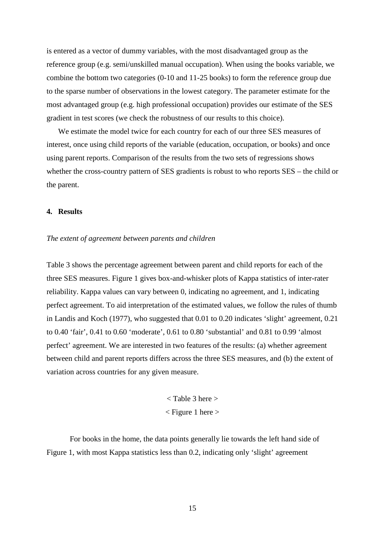is entered as a vector of dummy variables, with the most disadvantaged group as the reference group (e.g. semi/unskilled manual occupation). When using the books variable, we combine the bottom two categories (0-10 and 11-25 books) to form the reference group due to the sparse number of observations in the lowest category. The parameter estimate for the most advantaged group (e.g. high professional occupation) provides our estimate of the SES gradient in test scores (we check the robustness of our results to this choice).

We estimate the model twice for each country for each of our three SES measures of interest, once using child reports of the variable (education, occupation, or books) and once using parent reports. Comparison of the results from the two sets of regressions shows whether the cross-country pattern of SES gradients is robust to who reports SES – the child or the parent.

#### **4. Results**

#### *The extent of agreement between parents and children*

Table 3 shows the percentage agreement between parent and child reports for each of the three SES measures. Figure 1 gives box-and-whisker plots of Kappa statistics of inter-rater reliability. Kappa values can vary between 0, indicating no agreement, and 1, indicating perfect agreement. To aid interpretation of the estimated values, we follow the rules of thumb in Landis and Koch (1977), who suggested that 0.01 to 0.20 indicates 'slight' agreement, 0.21 to 0.40 'fair', 0.41 to 0.60 'moderate', 0.61 to 0.80 'substantial' and 0.81 to 0.99 'almost perfect' agreement. We are interested in two features of the results: (a) whether agreement between child and parent reports differs across the three SES measures, and (b) the extent of variation across countries for any given measure.

> < Table 3 here >  $\langle$  Figure 1 here  $\rangle$

For books in the home, the data points generally lie towards the left hand side of Figure 1, with most Kappa statistics less than 0.2, indicating only 'slight' agreement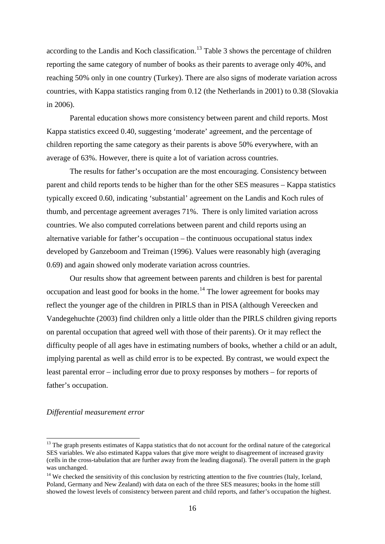according to the Landis and Koch classification.<sup>[13](#page-15-0)</sup> Table 3 shows the percentage of children reporting the same category of number of books as their parents to average only 40%, and reaching 50% only in one country (Turkey). There are also signs of moderate variation across countries, with Kappa statistics ranging from 0.12 (the Netherlands in 2001) to 0.38 (Slovakia in 2006).

Parental education shows more consistency between parent and child reports. Most Kappa statistics exceed 0.40, suggesting 'moderate' agreement, and the percentage of children reporting the same category as their parents is above 50% everywhere, with an average of 63%. However, there is quite a lot of variation across countries.

The results for father's occupation are the most encouraging. Consistency between parent and child reports tends to be higher than for the other SES measures – Kappa statistics typically exceed 0.60, indicating 'substantial' agreement on the Landis and Koch rules of thumb, and percentage agreement averages 71%. There is only limited variation across countries. We also computed correlations between parent and child reports using an alternative variable for father's occupation – the continuous occupational status index developed by Ganzeboom and Treiman (1996). Values were reasonably high (averaging 0.69) and again showed only moderate variation across countries.

Our results show that agreement between parents and children is best for parental occupation and least good for books in the home.<sup>[14](#page-17-0)</sup> The lower agreement for books may reflect the younger age of the children in PIRLS than in PISA (although Vereecken and Vandegehuchte (2003) find children only a little older than the PIRLS children giving reports on parental occupation that agreed well with those of their parents). Or it may reflect the difficulty people of all ages have in estimating numbers of books, whether a child or an adult, implying parental as well as child error is to be expected. By contrast, we would expect the least parental error – including error due to proxy responses by mothers – for reports of father's occupation.

#### *Differential measurement error*

<sup>&</sup>lt;sup>13</sup> The graph presents estimates of Kappa statistics that do not account for the ordinal nature of the categorical SES variables. We also estimated Kappa values that give more weight to disagreement of increased gravity (cells in the cross-tabulation that are further away from the leading diagonal). The overall pattern in the graph was unchanged.

<span id="page-17-1"></span><span id="page-17-0"></span> $14$  We checked the sensitivity of this conclusion by restricting attention to the five countries (Italy, Iceland, Poland, Germany and New Zealand) with data on each of the three SES measures; books in the home still showed the lowest levels of consistency between parent and child reports, and father's occupation the highest.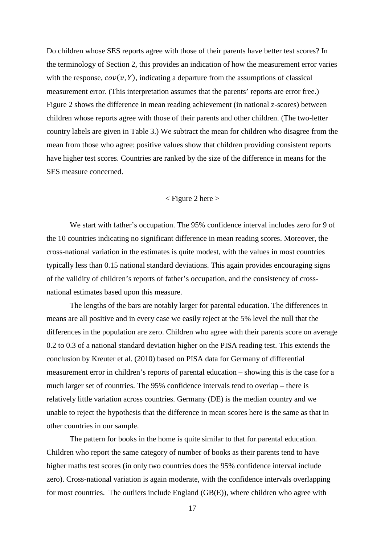Do children whose SES reports agree with those of their parents have better test scores? In the terminology of Section 2, this provides an indication of how the measurement error varies with the response,  $cov(v, Y)$ , indicating a departure from the assumptions of classical measurement error. (This interpretation assumes that the parents' reports are error free.) Figure 2 shows the difference in mean reading achievement (in national z-scores) between children whose reports agree with those of their parents and other children. (The two-letter country labels are given in Table 3.) We subtract the mean for children who disagree from the mean from those who agree: positive values show that children providing consistent reports have higher test scores. Countries are ranked by the size of the difference in means for the SES measure concerned.

#### < Figure 2 here >

We start with father's occupation. The 95% confidence interval includes zero for 9 of the 10 countries indicating no significant difference in mean reading scores. Moreover, the cross-national variation in the estimates is quite modest, with the values in most countries typically less than 0.15 national standard deviations. This again provides encouraging signs of the validity of children's reports of father's occupation, and the consistency of crossnational estimates based upon this measure.

The lengths of the bars are notably larger for parental education. The differences in means are all positive and in every case we easily reject at the 5% level the null that the differences in the population are zero. Children who agree with their parents score on average 0.2 to 0.3 of a national standard deviation higher on the PISA reading test. This extends the conclusion by Kreuter et al. (2010) based on PISA data for Germany of differential measurement error in children's reports of parental education – showing this is the case for a much larger set of countries. The 95% confidence intervals tend to overlap – there is relatively little variation across countries. Germany (DE) is the median country and we unable to reject the hypothesis that the difference in mean scores here is the same as that in other countries in our sample.

The pattern for books in the home is quite similar to that for parental education. Children who report the same category of number of books as their parents tend to have higher maths test scores (in only two countries does the 95% confidence interval include zero). Cross-national variation is again moderate, with the confidence intervals overlapping for most countries. The outliers include England (GB(E)), where children who agree with

17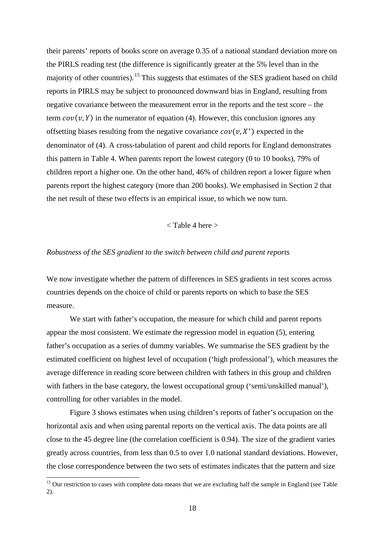their parents' reports of books score on average 0.35 of a national standard deviation more on the PIRLS reading test (the difference is significantly greater at the 5% level than in the majority of other countries).<sup>[15](#page-17-1)</sup> This suggests that estimates of the SES gradient based on child reports in PIRLS may be subject to pronounced downward bias in England, resulting from negative covariance between the measurement error in the reports and the test score – the term  $cov(v, Y)$  in the numerator of equation (4). However, this conclusion ignores any offsetting biases resulting from the negative covariance  $cov(v, X^*)$  expected in the denominator of (4). A cross-tabulation of parent and child reports for England demonstrates this pattern in Table 4. When parents report the lowest category (0 to 10 books), 79% of children report a higher one. On the other hand, 46% of children report a lower figure when parents report the highest category (more than 200 books). We emphasised in Section 2 that the net result of these two effects is an empirical issue, to which we now turn.

#### < Table 4 here >

#### *Robustness of the SES gradient to the switch between child and parent reports*

We now investigate whether the pattern of differences in SES gradients in test scores across countries depends on the choice of child or parents reports on which to base the SES measure.

We start with father's occupation, the measure for which child and parent reports appear the most consistent. We estimate the regression model in equation (5), entering father's occupation as a series of dummy variables. We summarise the SES gradient by the estimated coefficient on highest level of occupation ('high professional'), which measures the average difference in reading score between children with fathers in this group and children with fathers in the base category, the lowest occupational group ('semi/unskilled manual'), controlling for other variables in the model.

Figure 3 shows estimates when using children's reports of father's occupation on the horizontal axis and when using parental reports on the vertical axis. The data points are all close to the 45 degree line (the correlation coefficient is 0.94). The size of the gradient varies greatly across countries, from less than 0.5 to over 1.0 national standard deviations. However, the close correspondence between the two sets of estimates indicates that the pattern and size

<span id="page-19-1"></span><span id="page-19-0"></span><sup>&</sup>lt;sup>15</sup> Our restriction to cases with complete data means that we are excluding half the sample in England (see Table 2).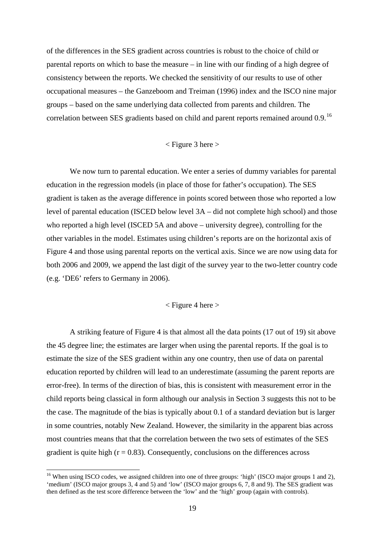of the differences in the SES gradient across countries is robust to the choice of child or parental reports on which to base the measure – in line with our finding of a high degree of consistency between the reports. We checked the sensitivity of our results to use of other occupational measures – the Ganzeboom and Treiman (1996) index and the ISCO nine major groups – based on the same underlying data collected from parents and children. The correlation between SES gradients based on child and parent reports remained around 0.9.<sup>[16](#page-19-1)</sup>

#### $\langle$  Figure 3 here  $>$

We now turn to parental education. We enter a series of dummy variables for parental education in the regression models (in place of those for father's occupation). The SES gradient is taken as the average difference in points scored between those who reported a low level of parental education (ISCED below level 3A – did not complete high school) and those who reported a high level (ISCED 5A and above – university degree), controlling for the other variables in the model. Estimates using children's reports are on the horizontal axis of Figure 4 and those using parental reports on the vertical axis. Since we are now using data for both 2006 and 2009, we append the last digit of the survey year to the two-letter country code (e.g. 'DE6' refers to Germany in 2006).

#### $\langle$  Figure 4 here  $>$

A striking feature of Figure 4 is that almost all the data points (17 out of 19) sit above the 45 degree line; the estimates are larger when using the parental reports. If the goal is to estimate the size of the SES gradient within any one country, then use of data on parental education reported by children will lead to an underestimate (assuming the parent reports are error-free). In terms of the direction of bias, this is consistent with measurement error in the child reports being classical in form although our analysis in Section 3 suggests this not to be the case. The magnitude of the bias is typically about 0.1 of a standard deviation but is larger in some countries, notably New Zealand. However, the similarity in the apparent bias across most countries means that that the correlation between the two sets of estimates of the SES gradient is quite high  $(r = 0.83)$ . Consequently, conclusions on the differences across

<span id="page-20-0"></span><sup>&</sup>lt;sup>16</sup> When using ISCO codes, we assigned children into one of three groups: 'high' (ISCO major groups 1 and 2), 'medium' (ISCO major groups 3, 4 and 5) and 'low' (ISCO major groups 6, 7, 8 and 9). The SES gradient was then defined as the test score difference between the 'low' and the 'high' group (again with controls).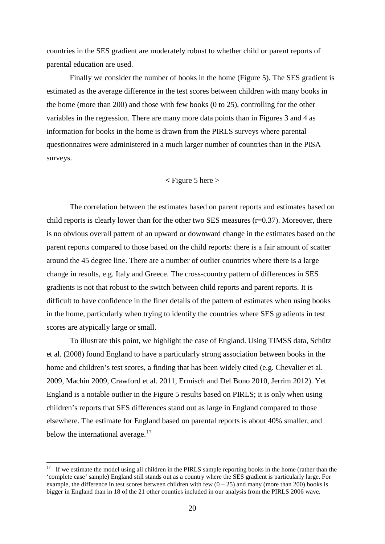countries in the SES gradient are moderately robust to whether child or parent reports of parental education are used.

Finally we consider the number of books in the home (Figure 5). The SES gradient is estimated as the average difference in the test scores between children with many books in the home (more than 200) and those with few books (0 to 25), controlling for the other variables in the regression. There are many more data points than in Figures 3 and 4 as information for books in the home is drawn from the PIRLS surveys where parental questionnaires were administered in a much larger number of countries than in the PISA surveys.

# **<** Figure 5 here >

The correlation between the estimates based on parent reports and estimates based on child reports is clearly lower than for the other two SES measures  $(r=0.37)$ . Moreover, there is no obvious overall pattern of an upward or downward change in the estimates based on the parent reports compared to those based on the child reports: there is a fair amount of scatter around the 45 degree line. There are a number of outlier countries where there is a large change in results, e.g. Italy and Greece. The cross-country pattern of differences in SES gradients is not that robust to the switch between child reports and parent reports. It is difficult to have confidence in the finer details of the pattern of estimates when using books in the home, particularly when trying to identify the countries where SES gradients in test scores are atypically large or small.

To illustrate this point, we highlight the case of England. Using TIMSS data, Schütz et al. (2008) found England to have a particularly strong association between books in the home and children's test scores, a finding that has been widely cited (e.g. Chevalier et al. 2009, Machin 2009, Crawford et al. 2011, Ermisch and Del Bono 2010, Jerrim 2012). Yet England is a notable outlier in the Figure 5 results based on PIRLS; it is only when using children's reports that SES differences stand out as large in England compared to those elsewhere. The estimate for England based on parental reports is about 40% smaller, and below the international average. $17$ 

<sup>&</sup>lt;sup>17</sup> If we estimate the model using all children in the PIRLS sample reporting books in the home (rather than the 'complete case' sample) England still stands out as a country where the SES gradient is particularly large. For example, the difference in test scores between children with few  $(0 - 25)$  and many (more than 200) books is bigger in England than in 18 of the 21 other counties included in our analysis from the PIRLS 2006 wave.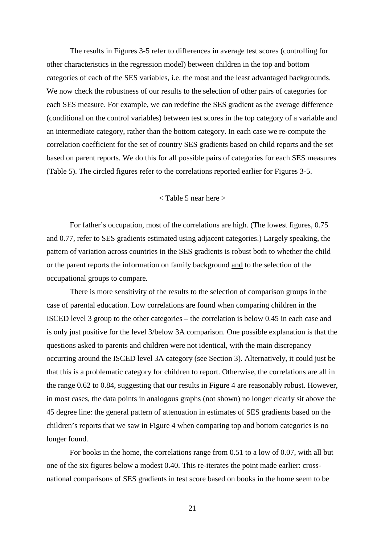The results in Figures 3-5 refer to differences in average test scores (controlling for other characteristics in the regression model) between children in the top and bottom categories of each of the SES variables, i.e. the most and the least advantaged backgrounds. We now check the robustness of our results to the selection of other pairs of categories for each SES measure. For example, we can redefine the SES gradient as the average difference (conditional on the control variables) between test scores in the top category of a variable and an intermediate category, rather than the bottom category. In each case we re-compute the correlation coefficient for the set of country SES gradients based on child reports and the set based on parent reports. We do this for all possible pairs of categories for each SES measures (Table 5). The circled figures refer to the correlations reported earlier for Figures 3-5.

#### < Table 5 near here >

For father's occupation, most of the correlations are high. (The lowest figures, 0.75 and 0.77, refer to SES gradients estimated using adjacent categories.) Largely speaking, the pattern of variation across countries in the SES gradients is robust both to whether the child or the parent reports the information on family background and to the selection of the occupational groups to compare.

There is more sensitivity of the results to the selection of comparison groups in the case of parental education. Low correlations are found when comparing children in the ISCED level 3 group to the other categories – the correlation is below 0.45 in each case and is only just positive for the level 3/below 3A comparison. One possible explanation is that the questions asked to parents and children were not identical, with the main discrepancy occurring around the ISCED level 3A category (see Section 3). Alternatively, it could just be that this is a problematic category for children to report. Otherwise, the correlations are all in the range 0.62 to 0.84, suggesting that our results in Figure 4 are reasonably robust. However, in most cases, the data points in analogous graphs (not shown) no longer clearly sit above the 45 degree line: the general pattern of attenuation in estimates of SES gradients based on the children's reports that we saw in Figure 4 when comparing top and bottom categories is no longer found.

For books in the home, the correlations range from 0.51 to a low of 0.07, with all but one of the six figures below a modest 0.40. This re-iterates the point made earlier: crossnational comparisons of SES gradients in test score based on books in the home seem to be

21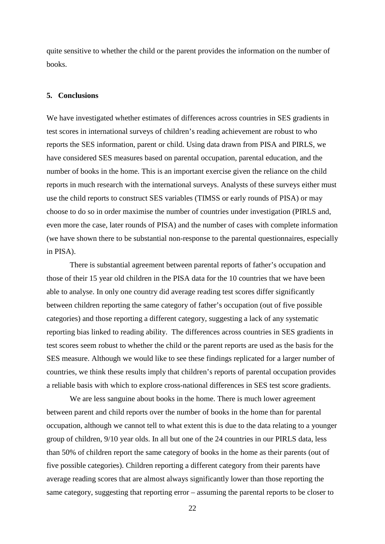quite sensitive to whether the child or the parent provides the information on the number of books.

#### **5. Conclusions**

We have investigated whether estimates of differences across countries in SES gradients in test scores in international surveys of children's reading achievement are robust to who reports the SES information, parent or child. Using data drawn from PISA and PIRLS, we have considered SES measures based on parental occupation, parental education, and the number of books in the home. This is an important exercise given the reliance on the child reports in much research with the international surveys. Analysts of these surveys either must use the child reports to construct SES variables (TIMSS or early rounds of PISA) or may choose to do so in order maximise the number of countries under investigation (PIRLS and, even more the case, later rounds of PISA) and the number of cases with complete information (we have shown there to be substantial non-response to the parental questionnaires, especially in PISA).

There is substantial agreement between parental reports of father's occupation and those of their 15 year old children in the PISA data for the 10 countries that we have been able to analyse. In only one country did average reading test scores differ significantly between children reporting the same category of father's occupation (out of five possible categories) and those reporting a different category, suggesting a lack of any systematic reporting bias linked to reading ability. The differences across countries in SES gradients in test scores seem robust to whether the child or the parent reports are used as the basis for the SES measure. Although we would like to see these findings replicated for a larger number of countries, we think these results imply that children's reports of parental occupation provides a reliable basis with which to explore cross-national differences in SES test score gradients.

We are less sanguine about books in the home. There is much lower agreement between parent and child reports over the number of books in the home than for parental occupation, although we cannot tell to what extent this is due to the data relating to a younger group of children, 9/10 year olds. In all but one of the 24 countries in our PIRLS data, less than 50% of children report the same category of books in the home as their parents (out of five possible categories). Children reporting a different category from their parents have average reading scores that are almost always significantly lower than those reporting the same category, suggesting that reporting error – assuming the parental reports to be closer to

22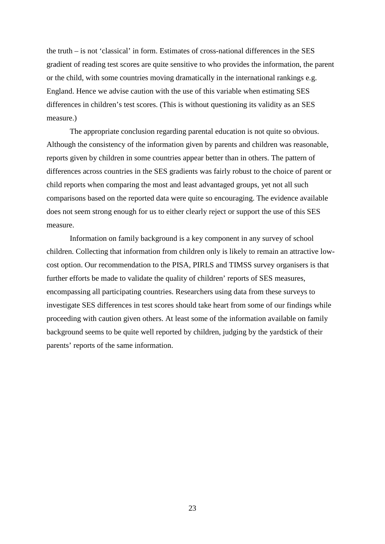the truth – is not 'classical' in form. Estimates of cross-national differences in the SES gradient of reading test scores are quite sensitive to who provides the information, the parent or the child, with some countries moving dramatically in the international rankings e.g. England. Hence we advise caution with the use of this variable when estimating SES differences in children's test scores. (This is without questioning its validity as an SES measure.)

The appropriate conclusion regarding parental education is not quite so obvious. Although the consistency of the information given by parents and children was reasonable, reports given by children in some countries appear better than in others. The pattern of differences across countries in the SES gradients was fairly robust to the choice of parent or child reports when comparing the most and least advantaged groups, yet not all such comparisons based on the reported data were quite so encouraging. The evidence available does not seem strong enough for us to either clearly reject or support the use of this SES measure.

Information on family background is a key component in any survey of school children. Collecting that information from children only is likely to remain an attractive lowcost option. Our recommendation to the PISA, PIRLS and TIMSS survey organisers is that further efforts be made to validate the quality of children' reports of SES measures, encompassing all participating countries. Researchers using data from these surveys to investigate SES differences in test scores should take heart from some of our findings while proceeding with caution given others. At least some of the information available on family background seems to be quite well reported by children, judging by the yardstick of their parents' reports of the same information.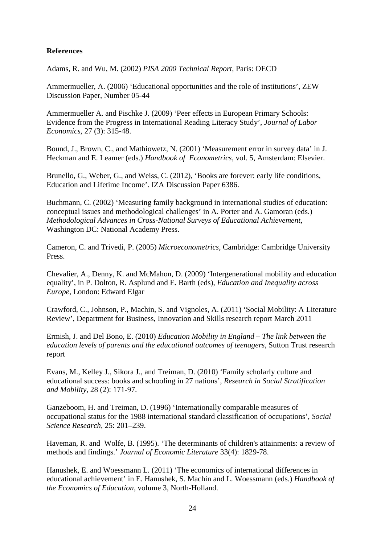# **References**

Adams, R. and Wu, M. (2002) *PISA 2000 Technical Report,* Paris: OECD

Ammermueller, A. (2006) 'Educational opportunities and the role of institutions', ZEW Discussion Paper, Number 05-44

Ammermueller A. and Pischke J. (2009) 'Peer effects in European Primary Schools: Evidence from the Progress in International Reading Literacy Study', *Journal of Labor Economics*, 27 (3): 315-48.

Bound, J., Brown, C., and Mathiowetz, N. (2001) 'Measurement error in survey data' in J. Heckman and E. Leamer (eds.) *Handbook of Econometrics*, vol. 5, Amsterdam: Elsevier.

Brunello, G., Weber, G., and Weiss, C. (2012), 'Books are forever: early life conditions, Education and Lifetime Income'. IZA Discussion Paper 6386.

Buchmann, C. (2002) 'Measuring family background in international studies of education: conceptual issues and methodological challenges' in A. Porter and A. Gamoran (eds.) *[Methodological Advances in Cross-National Surveys of Educational Achievement](http://www.nap.edu/catalog.php?record_id=10322)*, Washington DC: National Academy Press.

Cameron, C. and Trivedi, P. (2005) *Microeconometrics*, Cambridge: Cambridge University Press.

Chevalier, A., Denny, K. and McMahon, D. (2009) 'Intergenerational mobility and education equality', in P. Dolton, R. Asplund and E. Barth (eds), *Education and Inequality across Europe*, London: Edward Elgar

Crawford, C., Johnson, P., Machin, S. and Vignoles, A. (2011) 'Social Mobility: A Literature Review', Department for Business, Innovation and Skills research report March 2011

Ermish, J. and Del Bono, E. (2010) *[Education Mobility in England –](http://www.suttontrust.com/reports/Education_mobility_in_england.pdf) The link between the [education levels of parents and the educational outcomes of teenagers](http://www.suttontrust.com/reports/Education_mobility_in_england.pdf)*, Sutton Trust research report

Evans, M., Kelley J., Sikora J., and Treiman, D. (2010) 'Family scholarly culture and educational success: books and schooling in 27 nations', *Research in Social Stratification and Mobility*, 28 (2): 171-97.

Ganzeboom, H. and Treiman, D. (1996) 'Internationally comparable measures of occupational status for the 1988 international standard classification of occupations', *Social Science Research*, 25: 201–239.

Haveman, R. and Wolfe, B. (1995). 'The determinants of children's attainments: a review of methods and findings.' *Journal of Economic Literature* 33(4): 1829-78.

Hanushek, E. and Woessmann L. (2011) 'The economics of international differences in educational achievement' in E. Hanushek, S. Machin and L. Woessmann (eds.) *Handbook of the Economics of Education*, volume 3, North-Holland.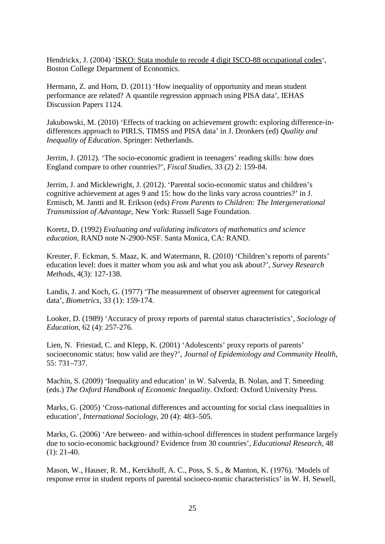Hendrickx, J. (2004) ['ISKO: Stata module to recode 4 digit ISCO-88 occupational codes'](http://ideas.repec.org/c/boc/bocode/s425802.html), Boston College Department of Economics.

Hermann, Z. and Horn, D. (2011) 'How inequality of opportunity and mean student performance are related? A quantile regression approach using PISA data', IEHAS Discussion Papers 1124.

Jakubowski, M. (2010) 'Effects of tracking on achievement growth: exploring difference-indifferences approach to PIRLS, TIMSS and PISA data' in J. Dronkers (ed) *Quality and Inequality of Education*. Springer: Netherlands.

Jerrim, J. (2012). 'The socio-economic gradient in teenagers' reading skills: how does England compare to other countries?', *Fiscal Studies*, 33 (2) 2: 159-84.

Jerrim, J. and Micklewright, J. (2012). 'Parental socio-economic status and children's cognitive achievement at ages 9 and 15: how do the links vary across countries?' in J. Ermisch, M. Jantti and R. Erikson (eds) *From Parents to Children: The Intergenerational Transmission of Advantage*, New York: Russell Sage Foundation.

Koretz, D. (1992) *Evaluating and validating indicators of mathematics and science education*, RAND note N-2900-NSF. Santa Monica, CA: RAND.

Kreuter, F. Eckman, S. Maaz, K. and Watermann, R. (2010) 'Children's reports of parents' education level: does it matter whom you ask and what you ask about?', *Survey Research Methods*, 4(3): 127-138.

Landis, J. and Koch, G. (1977) 'The measurement of observer agreement for categorical data', *Biometrics*, 33 (1): 159-174.

Looker, D. (1989) 'Accuracy of proxy reports of parental status characteristics', *Sociology of Education*, 62 (4): 257-276.

Lien, N. Friestad, C. and Klepp, K. (2001) 'Adolescents' proxy reports of parents' socioeconomic status: how valid are they?', *Journal of Epidemiology and Community Health*, 55: 731–737.

Machin, S. (2009) 'Inequality and education' in W. Salverda, B. Nolan, and T. Smeeding (eds.) *The Oxford Handbook of Economic Inequality*. Oxford: Oxford University Press.

Marks, G. (2005) 'Cross-national differences and accounting for social class inequalities in education', *International Sociology*, 20 (4): 483–505.

Marks, G. (2006) 'Are between- and within-school differences in student performance largely due to socio-economic background? Evidence from 30 countries', *Educational Research*, 48  $(1): 21-40.$ 

Mason, W., Hauser, R. M., Kerckhoff, A. C., Poss, S. S., & Manton, K. (1976). 'Models of response error in student reports of parental socioeco-nomic characteristics' in W. H. Sewell,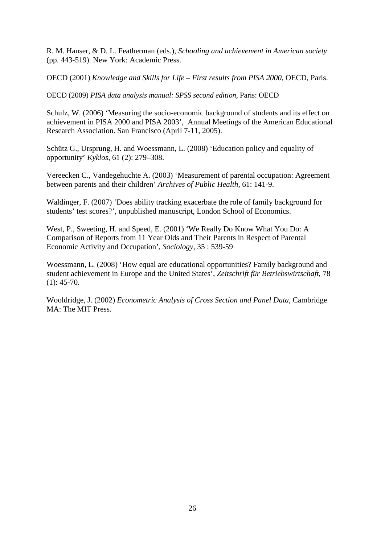R. M. Hauser, & D. L. Featherman (eds.), *Schooling and achievement in American society* (pp. 443-519). New York: Academic Press.

OECD (2001) *Knowledge and Skills for Life – First results from PISA 2000*, OECD, Paris.

OECD (2009) *PISA data analysis manual: SPSS second edition*, Paris: OECD

Schulz, W. (2006) 'Measuring the socio-economic background of students and its effect on achievement in PISA 2000 and PISA 2003', Annual Meetings of the American Educational Research Association. San Francisco (April 7-11, 2005).

Schütz G., Ursprung, H. and Woessmann, L. (2008) 'Education policy and equality of opportunity' *Kyklos*, 61 (2): 279–308.

Vereecken C., Vandegehuchte A. (2003) 'Measurement of parental occupation: Agreement between parents and their children' *Archives of Public Health*, 61: 141-9.

Waldinger, F. (2007) 'Does ability tracking exacerbate the role of family background for students' test scores?', unpublished manuscript, London School of Economics.

West, P., Sweeting, H. and Speed, E. (2001) 'We Really Do Know What You Do: A Comparison of Reports from 11 Year Olds and Their Parents in Respect of Parental Economic Activity and Occupation', *Sociology*, 35 : 539-59

Woessmann, L. (2008) 'How equal are educational opportunities? Family background and student achievement in Europe and the United States', *Zeitschrift für Betriebswirtschaft*, 78  $(1): 45-70.$ 

Wooldridge, J. (2002) *Econometric Analysis of Cross Section and Panel Data*, Cambridge MA: The MIT Press.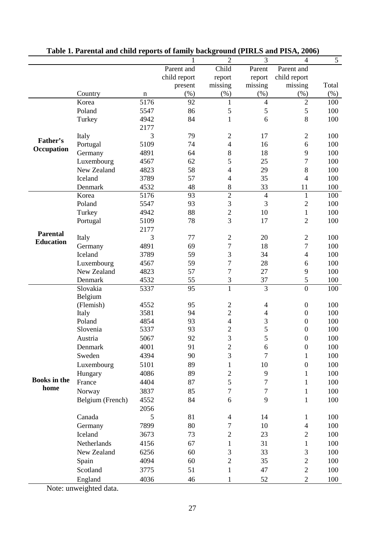|                     |                  |              |              | $\overline{2}$                             | 3                        | $\overline{4}$                       | 5          |
|---------------------|------------------|--------------|--------------|--------------------------------------------|--------------------------|--------------------------------------|------------|
|                     |                  |              | Parent and   | Child                                      | Parent                   | Parent and                           |            |
|                     |                  |              | child report | report                                     | report                   | child report                         |            |
|                     |                  |              | present      | missing                                    | missing                  | missing                              | Total      |
|                     | Country          | $\mathbf n$  | $(\%)$       | (%)                                        | (%)                      | (%)                                  | $(\%)$     |
|                     | Korea            | 5176         | 92           | $\mathbf{1}$                               | $\overline{4}$           | $\sqrt{2}$                           | 100        |
|                     | Poland           | 5547         | 86           | 5                                          | 5                        | 5                                    | 100        |
|                     | Turkey           | 4942         | 84           | $\mathbf{1}$                               | 6                        | $\,8\,$                              | 100        |
|                     |                  | 2177         |              |                                            |                          |                                      |            |
| Father's            | Italy            | 3            | 79           | $\overline{2}$                             | 17                       | $\sqrt{2}$                           | 100        |
| Occupation          | Portugal         | 5109         | 74           | $\overline{4}$                             | 16                       | 6                                    | 100        |
|                     | Germany          | 4891         | 64           | $\,8$                                      | 18                       | 9                                    | 100        |
|                     | Luxembourg       | 4567         | 62           | 5                                          | 25                       | $\boldsymbol{7}$                     | 100        |
|                     | New Zealand      | 4823         | 58           | $\overline{4}$                             | 29                       | 8                                    | 100        |
|                     | Iceland          | 3789         | 57           | $\overline{\mathcal{L}}$                   | 35                       | $\overline{4}$                       | 100        |
|                     | Denmark          | 4532         | 48           | 8                                          | 33                       | 11                                   | 100        |
|                     | Korea            | 5176         | 93           | $\overline{2}$                             | $\overline{4}$           | $\mathbf{1}$                         | 100        |
|                     | Poland           | 5547         | 93           | 3                                          | 3                        | $\overline{c}$                       | 100        |
|                     | Turkey           | 4942         | 88           | $\overline{2}$                             | 10                       | $\mathbf{1}$                         | 100        |
|                     | Portugal         | 5109         | 78           | $\overline{3}$                             | 17                       | $\overline{2}$                       | 100        |
| <b>Parental</b>     |                  | 2177         |              |                                            |                          |                                      |            |
| <b>Education</b>    | Italy            | 3            | 77           | $\overline{2}$                             | 20                       | $\overline{2}$                       | 100        |
|                     | Germany          | 4891         | 69           | $\boldsymbol{7}$                           | 18                       | $\tau$                               | 100        |
|                     | Iceland          | 3789         | 59           | 3                                          | 34                       | $\overline{4}$                       | 100        |
|                     | Luxembourg       | 4567         | 59           | $\overline{7}$                             | 28                       | 6                                    | 100        |
|                     | New Zealand      | 4823         | 57           | $\overline{7}$                             | 27                       | 9                                    | 100        |
|                     | Denmark          | 4532         | 55           | 3                                          | 37                       | 5                                    | 100        |
|                     | Slovakia         | 5337         | 95           | $\mathbf{1}$                               | $\overline{3}$           | $\overline{0}$                       | 100        |
|                     | Belgium          |              |              |                                            |                          |                                      |            |
|                     | (Flemish)        | 4552         | 95           | $\boldsymbol{2}$                           | $\overline{4}$           | $\boldsymbol{0}$                     | 100        |
|                     | Italy<br>Poland  | 3581         | 94<br>93     | $\overline{c}$                             | $\overline{\mathcal{A}}$ | $\boldsymbol{0}$                     | 100        |
|                     | Slovenia         | 4854<br>5337 | 93           | $\overline{\mathcal{L}}$<br>$\overline{c}$ | 3<br>5                   | $\boldsymbol{0}$<br>$\boldsymbol{0}$ | 100<br>100 |
|                     | Austria          | 5067         | 92           | 3                                          | 5                        | $\boldsymbol{0}$                     | 100        |
|                     |                  |              |              |                                            |                          |                                      |            |
|                     | Denmark          | 4001         | 91           | 2                                          | 6                        | $\boldsymbol{0}$                     | 100        |
|                     | Sweden           | 4394         | 90           | 3                                          | 7                        | $\mathbf{1}$                         | 100        |
|                     | Luxembourg       | 5101         | 89           | $\mathbf{1}$                               | 10                       | $\boldsymbol{0}$                     | 100        |
| <b>Books</b> in the | Hungary          | 4086         | 89           | $\overline{c}$                             | 9                        | $\mathbf{1}$                         | 100        |
| home                | France           | 4404         | 87           | 5                                          | 7                        | $\mathbf{1}$                         | 100        |
|                     | Norway           | 3837         | 85           | $\overline{7}$                             | 7                        | $\mathbf{1}$                         | 100        |
|                     | Belgium (French) | 4552         | 84           | 6                                          | 9                        | $\mathbf{1}$                         | 100        |
|                     |                  | 2056         |              |                                            |                          |                                      |            |
|                     | Canada           | 5            | 81           | 4                                          | 14                       | $\mathbf{1}$                         | 100        |
|                     | Germany          | 7899         | 80           | $\boldsymbol{7}$                           | 10                       | $\overline{4}$                       | 100        |
|                     | Iceland          | 3673         | 73           | $\mathbf{2}$                               | 23                       | $\sqrt{2}$                           | 100        |
|                     | Netherlands      | 4156         | 67           | $\mathbf{1}$                               | 31                       | $\mathbf{1}$                         | 100        |
|                     | New Zealand      | 6256         | 60           | 3                                          | 33                       | 3                                    | 100        |
|                     | Spain            | 4094         | 60           | $\overline{2}$                             | 35                       | $\sqrt{2}$                           | 100        |
|                     | Scotland         | 3775         | 51           | $\mathbf{1}$                               | 47                       | $\sqrt{2}$                           | 100        |
|                     | England          | 4036         | 46           | $\mathbf{1}$                               | 52                       | $\mathbf{2}$                         | 100        |

**Table 1. Parental and child reports of family background (PIRLS and PISA, 2006)**

Note: unweighted data.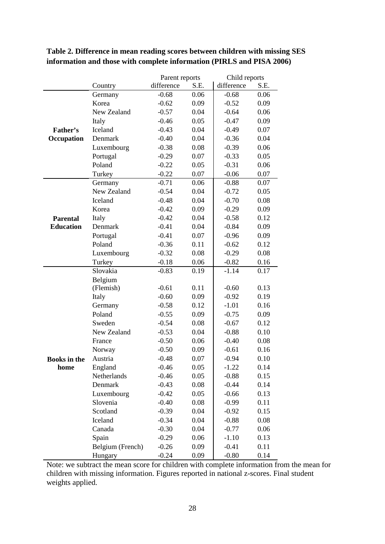# **Table 2. Difference in mean reading scores between children with missing SES information and those with complete information (PIRLS and PISA 2006)**

|                     |                  | Parent reports |      | Child reports |      |
|---------------------|------------------|----------------|------|---------------|------|
|                     | Country          | difference     | S.E. | difference    | S.E. |
|                     | Germany          | $-0.68$        | 0.06 | $-0.68$       | 0.06 |
|                     | Korea            | $-0.62$        | 0.09 | $-0.52$       | 0.09 |
|                     | New Zealand      | $-0.57$        | 0.04 | $-0.64$       | 0.06 |
|                     | Italy            | $-0.46$        | 0.05 | $-0.47$       | 0.09 |
| Father's            | Iceland          | $-0.43$        | 0.04 | $-0.49$       | 0.07 |
| Occupation          | Denmark          | $-0.40$        | 0.04 | $-0.36$       | 0.04 |
|                     | Luxembourg       | $-0.38$        | 0.08 | $-0.39$       | 0.06 |
|                     | Portugal         | $-0.29$        | 0.07 | $-0.33$       | 0.05 |
|                     | Poland           | $-0.22$        | 0.05 | $-0.31$       | 0.06 |
|                     | Turkey           | $-0.22$        | 0.07 | $-0.06$       | 0.07 |
|                     | Germany          | $-0.71$        | 0.06 | $-0.88$       | 0.07 |
|                     | New Zealand      | $-0.54$        | 0.04 | $-0.72$       | 0.05 |
|                     | Iceland          | $-0.48$        | 0.04 | $-0.70$       | 0.08 |
|                     | Korea            | $-0.42$        | 0.09 | $-0.29$       | 0.09 |
| <b>Parental</b>     | Italy            | $-0.42$        | 0.04 | $-0.58$       | 0.12 |
| <b>Education</b>    | Denmark          | $-0.41$        | 0.04 | $-0.84$       | 0.09 |
|                     | Portugal         | $-0.41$        | 0.07 | $-0.96$       | 0.09 |
|                     | Poland           | $-0.36$        | 0.11 | $-0.62$       | 0.12 |
|                     | Luxembourg       | $-0.32$        | 0.08 | $-0.29$       | 0.08 |
|                     | Turkey           | $-0.18$        | 0.06 | $-0.82$       | 0.16 |
|                     | Slovakia         | $-0.83$        | 0.19 | $-1.14$       | 0.17 |
|                     | Belgium          |                |      |               |      |
|                     | (Flemish)        | $-0.61$        | 0.11 | $-0.60$       | 0.13 |
|                     | Italy            | $-0.60$        | 0.09 | $-0.92$       | 0.19 |
|                     | Germany          | $-0.58$        | 0.12 | $-1.01$       | 0.16 |
|                     | Poland           | $-0.55$        | 0.09 | $-0.75$       | 0.09 |
|                     | Sweden           | $-0.54$        | 0.08 | $-0.67$       | 0.12 |
|                     | New Zealand      | $-0.53$        | 0.04 | $-0.88$       | 0.10 |
|                     | France           | $-0.50$        | 0.06 | $-0.40$       | 0.08 |
|                     | Norway           | $-0.50$        | 0.09 | $-0.61$       | 0.16 |
| <b>Books</b> in the | Austria          | $-0.48$        | 0.07 | $-0.94$       | 0.10 |
| home                | England          | $-0.46$        | 0.05 | $-1.22$       | 0.14 |
|                     | Netherlands      | $-0.46$        | 0.05 | $-0.88$       | 0.15 |
|                     | Denmark          | $-0.43$        | 0.08 | $-0.44$       | 0.14 |
|                     | Luxembourg       | $-0.42$        | 0.05 | $-0.66$       | 0.13 |
|                     | Slovenia         | $-0.40$        | 0.08 | $-0.99$       | 0.11 |
|                     | Scotland         | $-0.39$        | 0.04 | $-0.92$       | 0.15 |
|                     | Iceland          | $-0.34$        | 0.04 | $-0.88$       | 0.08 |
|                     | Canada           | $-0.30$        | 0.04 | $-0.77$       | 0.06 |
|                     | Spain            | $-0.29$        | 0.06 | $-1.10$       | 0.13 |
|                     | Belgium (French) | $-0.26$        | 0.09 | $-0.41$       | 0.11 |
|                     | Hungary          | $-0.24$        | 0.09 | $-0.80$       | 0.14 |

Note: we subtract the mean score for children with complete information from the mean for children with missing information. Figures reported in national z-scores. Final student weights applied.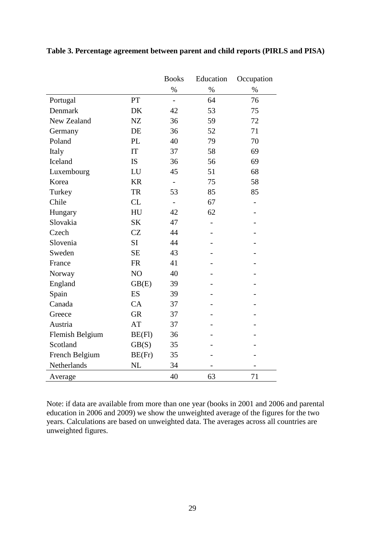|                 |           | <b>Books</b>             | Education                | Occupation |
|-----------------|-----------|--------------------------|--------------------------|------------|
|                 |           | $\%$                     | $\%$                     | $\%$       |
| Portugal        | PT        | $\overline{\phantom{0}}$ | 64                       | 76         |
| Denmark         | DK        | 42                       | 53                       | 75         |
| New Zealand     | NZ        | 36                       | 59                       | 72         |
| Germany         | DE        | 36                       | 52                       | 71         |
| Poland          | <b>PL</b> | 40                       | 79                       | 70         |
| Italy           | IT        | 37                       | 58                       | 69         |
| Iceland         | <b>IS</b> | 36                       | 56                       | 69         |
| Luxembourg      | LU        | 45                       | 51                       | 68         |
| Korea           | <b>KR</b> | $\overline{\phantom{0}}$ | 75                       | 58         |
| Turkey          | <b>TR</b> | 53                       | 85                       | 85         |
| Chile           | CL        |                          | 67                       |            |
| Hungary         | HU        | 42                       | 62                       |            |
| Slovakia        | <b>SK</b> | 47                       | $\overline{\phantom{0}}$ |            |
| Czech           | CZ        | 44                       |                          |            |
| Slovenia        | SI        | 44                       |                          |            |
| Sweden          | <b>SE</b> | 43                       |                          |            |
| France          | <b>FR</b> | 41                       |                          |            |
| Norway          | NO        | 40                       |                          |            |
| England         | GB(E)     | 39                       |                          |            |
| Spain           | <b>ES</b> | 39                       |                          |            |
| Canada          | CA        | 37                       |                          |            |
| Greece          | <b>GR</b> | 37                       |                          |            |
| Austria         | AT        | 37                       |                          |            |
| Flemish Belgium | $BE$ (Fl) | 36                       |                          |            |
| Scotland        | GB(S)     | 35                       |                          |            |
| French Belgium  | BE(Fr)    | 35                       |                          |            |
| Netherlands     | <b>NL</b> | 34                       |                          |            |
| Average         |           | 40                       | 63                       | 71         |

**Table 3. Percentage agreement between parent and child reports (PIRLS and PISA)**

Note: if data are available from more than one year (books in 2001 and 2006 and parental education in 2006 and 2009) we show the unweighted average of the figures for the two years. Calculations are based on unweighted data. The averages across all countries are unweighted figures.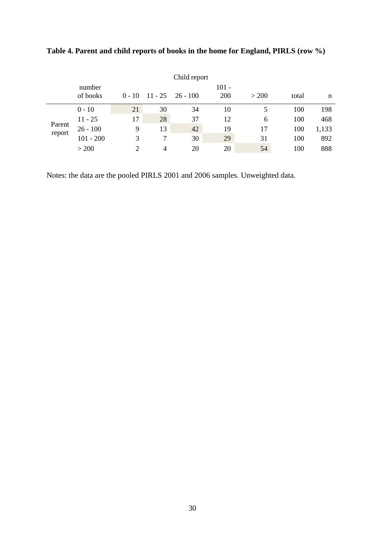|                  |                    |          |    | Child report       |              |       |       |       |
|------------------|--------------------|----------|----|--------------------|--------------|-------|-------|-------|
|                  | number<br>of books | $0 - 10$ |    | $11 - 25$ 26 - 100 | 101 -<br>200 | > 200 | total | n     |
|                  | $0 - 10$           | 21       | 30 | 34                 | 10           |       | 100   | 198   |
|                  | $11 - 25$          | 17       | 28 | 37                 | 12           | 6     | 100   | 468   |
| Parent<br>report | $26 - 100$         | 9        | 13 | 42                 | 19           | 17    | 100   | 1,133 |
|                  | $101 - 200$        | 3        |    | 30                 | 29           | 31    | 100   | 892   |
|                  | > 200              | ↑        | 4  | 20                 | 20           | 54    | 100   | 888   |

**Table 4. Parent and child reports of books in the home for England, PIRLS (row %)**

Notes: the data are the pooled PIRLS 2001 and 2006 samples. Unweighted data.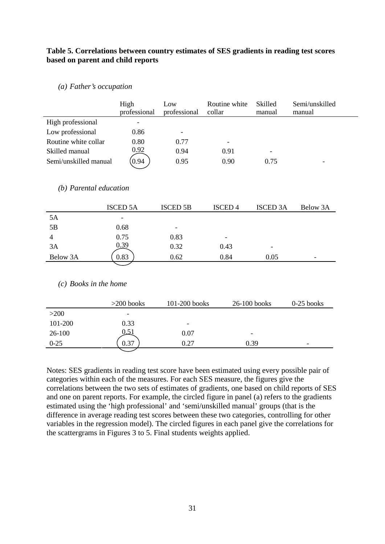# **Table 5. Correlations between country estimates of SES gradients in reading test scores based on parent and child reports**

*(a) Father's occupation*

|                        | High<br>professional     | Low<br>professional | Routine white<br>collar | Skilled<br>manual | Semi/unskilled<br>manual |
|------------------------|--------------------------|---------------------|-------------------------|-------------------|--------------------------|
| High professional      | $\overline{\phantom{a}}$ |                     |                         |                   |                          |
| Low professional       | 0.86                     |                     |                         |                   |                          |
| Routine white collar   | 0.80                     | 0.77                |                         |                   |                          |
| Skilled manual         | 0.92                     | 0.94                | 0.91                    |                   |                          |
| Semi/unskilled manual  | 0.94                     | 0.95                | 0.90                    | 0.75              |                          |
|                        |                          |                     |                         |                   |                          |
| (b) Parental education |                          |                     |                         |                   |                          |

|          | <b>ISCED 5A</b>          | <b>ISCED 5B</b>          | <b>ISCED4</b>            | <b>ISCED 3A</b> | Below 3A                 |
|----------|--------------------------|--------------------------|--------------------------|-----------------|--------------------------|
| 5A       | $\overline{\phantom{a}}$ |                          |                          |                 |                          |
| 5B       | 0.68                     | $\overline{\phantom{0}}$ |                          |                 |                          |
| 4        | 0.75                     | 0.83                     | $\overline{\phantom{a}}$ |                 |                          |
| 3A       | 0.39                     | 0.32                     | 0.43                     | ۰               |                          |
| Below 3A | 0.83                     | 0.62                     | 0.84                     | 0.05            | $\overline{\phantom{0}}$ |

*(c) Books in the home*

|          | $>200$ books             | 101-200 books | $26-100$ books           | $0-25$ books             |
|----------|--------------------------|---------------|--------------------------|--------------------------|
| $>200$   | $\overline{\phantom{0}}$ |               |                          |                          |
| 101-200  | 0.33                     | -             |                          |                          |
| $26-100$ | 0.51                     | 0.07          | $\overline{\phantom{0}}$ |                          |
| $0 - 25$ | 0.37                     | 0.27          | 0.39                     | $\overline{\phantom{0}}$ |
|          |                          |               |                          |                          |

Notes: SES gradients in reading test score have been estimated using every possible pair of categories within each of the measures. For each SES measure, the figures give the correlations between the two sets of estimates of gradients, one based on child reports of SES and one on parent reports. For example, the circled figure in panel (a) refers to the gradients estimated using the 'high professional' and 'semi/unskilled manual' groups (that is the difference in average reading test scores between these two categories, controlling for other variables in the regression model). The circled figures in each panel give the correlations for the scattergrams in Figures 3 to 5. Final students weights applied.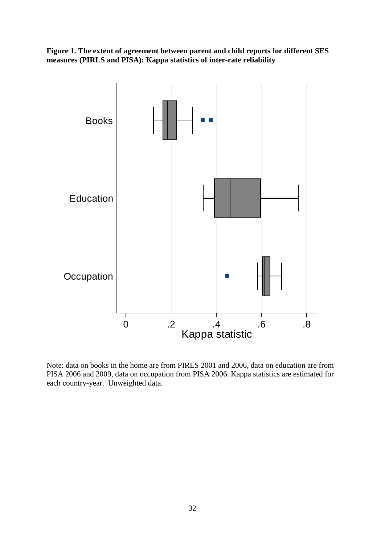**Figure 1. The extent of agreement between parent and child reports for different SES measures (PIRLS and PISA): Kappa statistics of inter-rate reliability**



Note: data on books in the home are from PIRLS 2001 and 2006, data on education are from PISA 2006 and 2009, data on occupation from PISA 2006. Kappa statistics are estimated for each country-year. Unweighted data.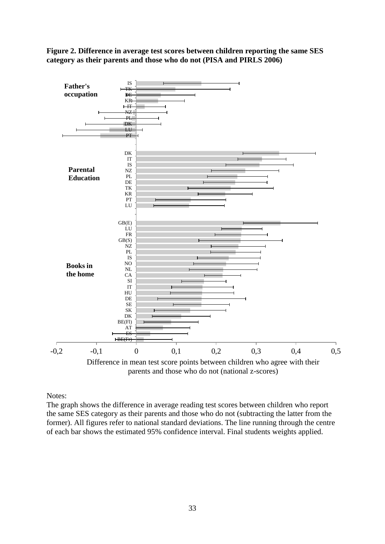**Figure 2. Difference in average test scores between children reporting the same SES category as their parents and those who do not (PISA and PIRLS 2006)**



Notes:

The graph shows the difference in average reading test scores between children who report the same SES category as their parents and those who do not (subtracting the latter from the former). All figures refer to national standard deviations. The line running through the centre of each bar shows the estimated 95% confidence interval. Final students weights applied.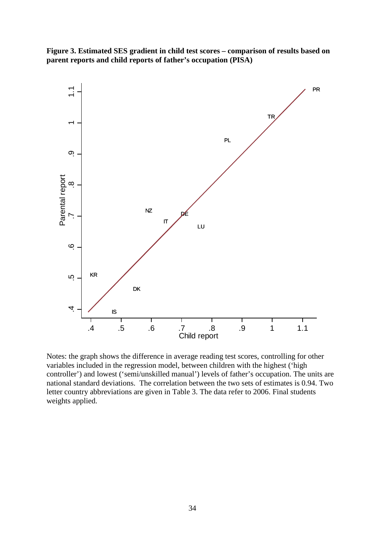

**Figure 3. Estimated SES gradient in child test scores – comparison of results based on parent reports and child reports of father's occupation (PISA)**

Notes: the graph shows the difference in average reading test scores, controlling for other variables included in the regression model, between children with the highest ('high controller') and lowest ('semi/unskilled manual') levels of father's occupation. The units are national standard deviations. The correlation between the two sets of estimates is 0.94. Two letter country abbreviations are given in Table 3. The data refer to 2006. Final students weights applied.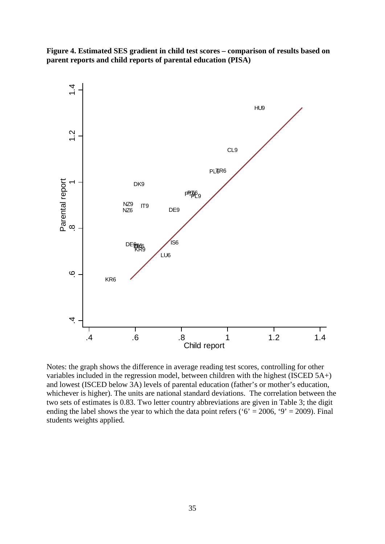



Notes: the graph shows the difference in average reading test scores, controlling for other variables included in the regression model, between children with the highest (ISCED 5A+) and lowest (ISCED below 3A) levels of parental education (father's or mother's education, whichever is higher). The units are national standard deviations. The correlation between the two sets of estimates is 0.83. Two letter country abbreviations are given in Table 3; the digit ending the label shows the year to which the data point refers ( $6' = 2006$ ,  $9' = 2009$ ). Final students weights applied.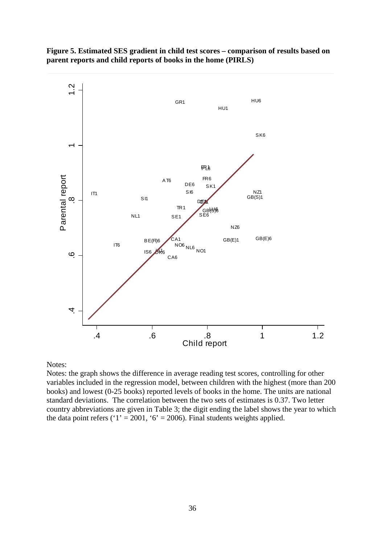



# Notes:

Notes: the graph shows the difference in average reading test scores, controlling for other variables included in the regression model, between children with the highest (more than 200 books) and lowest (0-25 books) reported levels of books in the home. The units are national standard deviations. The correlation between the two sets of estimates is 0.37. Two letter country abbreviations are given in Table 3; the digit ending the label shows the year to which the data point refers (' $1' = 2001$ , ' $6' = 2006$ ). Final students weights applied.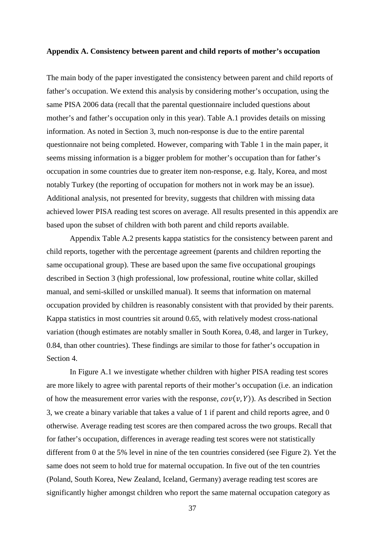#### **Appendix A. Consistency between parent and child reports of mother's occupation**

The main body of the paper investigated the consistency between parent and child reports of father's occupation. We extend this analysis by considering mother's occupation, using the same PISA 2006 data (recall that the parental questionnaire included questions about mother's and father's occupation only in this year). Table A.1 provides details on missing information. As noted in Section 3, much non-response is due to the entire parental questionnaire not being completed. However, comparing with Table 1 in the main paper, it seems missing information is a bigger problem for mother's occupation than for father's occupation in some countries due to greater item non-response, e.g. Italy, Korea, and most notably Turkey (the reporting of occupation for mothers not in work may be an issue). Additional analysis, not presented for brevity, suggests that children with missing data achieved lower PISA reading test scores on average. All results presented in this appendix are based upon the subset of children with both parent and child reports available.

Appendix Table A.2 presents kappa statistics for the consistency between parent and child reports, together with the percentage agreement (parents and children reporting the same occupational group). These are based upon the same five occupational groupings described in Section 3 (high professional, low professional, routine white collar, skilled manual, and semi-skilled or unskilled manual). It seems that information on maternal occupation provided by children is reasonably consistent with that provided by their parents. Kappa statistics in most countries sit around 0.65, with relatively modest cross-national variation (though estimates are notably smaller in South Korea, 0.48, and larger in Turkey, 0.84, than other countries). These findings are similar to those for father's occupation in Section 4.

In Figure A.1 we investigate whether children with higher PISA reading test scores are more likely to agree with parental reports of their mother's occupation (i.e. an indication of how the measurement error varies with the response,  $cov(v, Y)$ ). As described in Section 3, we create a binary variable that takes a value of 1 if parent and child reports agree, and 0 otherwise. Average reading test scores are then compared across the two groups. Recall that for father's occupation, differences in average reading test scores were not statistically different from 0 at the 5% level in nine of the ten countries considered (see Figure 2). Yet the same does not seem to hold true for maternal occupation. In five out of the ten countries (Poland, South Korea, New Zealand, Iceland, Germany) average reading test scores are significantly higher amongst children who report the same maternal occupation category as

37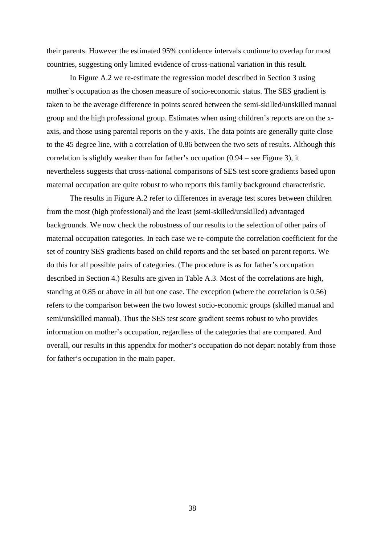their parents. However the estimated 95% confidence intervals continue to overlap for most countries, suggesting only limited evidence of cross-national variation in this result.

In Figure A.2 we re-estimate the regression model described in Section 3 using mother's occupation as the chosen measure of socio-economic status. The SES gradient is taken to be the average difference in points scored between the semi-skilled/unskilled manual group and the high professional group. Estimates when using children's reports are on the xaxis, and those using parental reports on the y-axis. The data points are generally quite close to the 45 degree line, with a correlation of 0.86 between the two sets of results. Although this correlation is slightly weaker than for father's occupation  $(0.94 - \text{see Figure 3})$ , it nevertheless suggests that cross-national comparisons of SES test score gradients based upon maternal occupation are quite robust to who reports this family background characteristic.

The results in Figure A.2 refer to differences in average test scores between children from the most (high professional) and the least (semi-skilled/unskilled) advantaged backgrounds. We now check the robustness of our results to the selection of other pairs of maternal occupation categories. In each case we re-compute the correlation coefficient for the set of country SES gradients based on child reports and the set based on parent reports. We do this for all possible pairs of categories. (The procedure is as for father's occupation described in Section 4.) Results are given in Table A.3. Most of the correlations are high, standing at 0.85 or above in all but one case. The exception (where the correlation is 0.56) refers to the comparison between the two lowest socio-economic groups (skilled manual and semi/unskilled manual). Thus the SES test score gradient seems robust to who provides information on mother's occupation, regardless of the categories that are compared. And overall, our results in this appendix for mother's occupation do not depart notably from those for father's occupation in the main paper.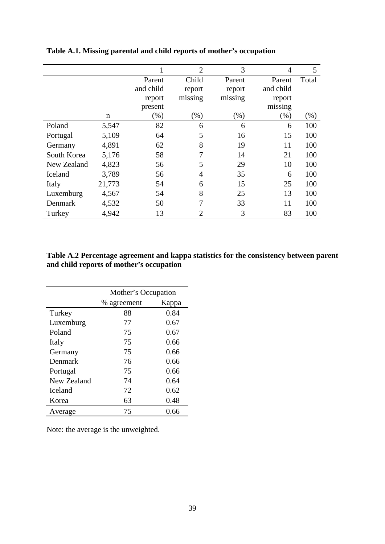|             |        |           | $\overline{2}$ | 3       | $\overline{4}$ | 5      |
|-------------|--------|-----------|----------------|---------|----------------|--------|
|             |        | Parent    | Child          | Parent  | Parent         | Total  |
|             |        | and child | report         | report  | and child      |        |
|             |        | report    | missing        | missing | report         |        |
|             |        | present   |                |         | missing        |        |
|             | n      | $(\%)$    | $(\% )$        | $(\%)$  | $(\%)$         | $(\%)$ |
| Poland      | 5,547  | 82        | 6              | 6       | 6              | 100    |
| Portugal    | 5,109  | 64        | 5              | 16      | 15             | 100    |
| Germany     | 4,891  | 62        | 8              | 19      | 11             | 100    |
| South Korea | 5,176  | 58        | 7              | 14      | 21             | 100    |
| New Zealand | 4,823  | 56        | 5              | 29      | 10             | 100    |
| Iceland     | 3,789  | 56        | $\overline{4}$ | 35      | 6              | 100    |
| Italy       | 21,773 | 54        | 6              | 15      | 25             | 100    |
| Luxemburg   | 4,567  | 54        | 8              | 25      | 13             | 100    |
| Denmark     | 4,532  | 50        | 7              | 33      | 11             | 100    |
| Turkey      | 4,942  | 13        | $\overline{2}$ | 3       | 83             | 100    |

**Table A.1. Missing parental and child reports of mother's occupation** 

# **Table A.2 Percentage agreement and kappa statistics for the consistency between parent and child reports of mother's occupation**

|                | Mother's Occupation |       |
|----------------|---------------------|-------|
|                | % agreement         | Kappa |
| Turkey         | 88                  | 0.84  |
| Luxemburg      | 77                  | 0.67  |
| Poland         | 75                  | 0.67  |
| Italy          | 75                  | 0.66  |
| Germany        | 75                  | 0.66  |
| Denmark        | 76                  | 0.66  |
| Portugal       | 75                  | 0.66  |
| New Zealand    | 74                  | 0.64  |
| <b>Iceland</b> | 72                  | 0.62  |
| Korea          | 63                  | 0.48  |
| Average        | 75                  | 0.66  |

Note: the average is the unweighted.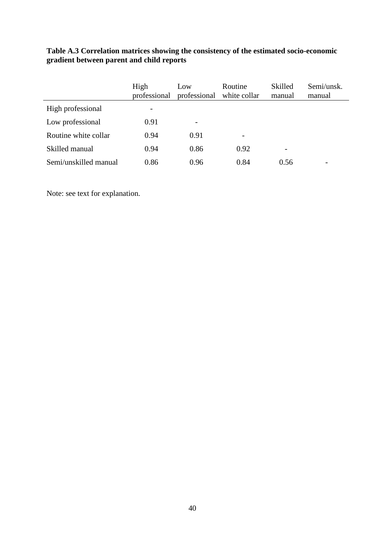|                       | High<br>professional     | Low<br>professional      | Routine<br>white collar | Skilled<br>manual        | Semi/unsk.<br>manual |
|-----------------------|--------------------------|--------------------------|-------------------------|--------------------------|----------------------|
| High professional     | $\overline{\phantom{a}}$ |                          |                         |                          |                      |
| Low professional      | 0.91                     | $\overline{\phantom{0}}$ |                         |                          |                      |
| Routine white collar  | 0.94                     | 0.91                     | -                       |                          |                      |
| Skilled manual        | 0.94                     | 0.86                     | 0.92                    | $\overline{\phantom{0}}$ |                      |
| Semi/unskilled manual | 0.86                     | 0.96                     | 0.84                    | 0.56                     |                      |

**Table A.3 Correlation matrices showing the consistency of the estimated socio-economic gradient between parent and child reports**

Note: see text for explanation.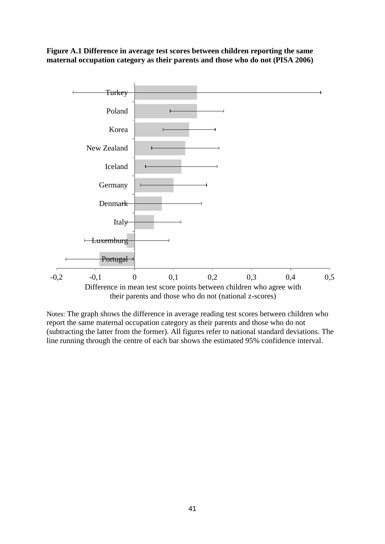**Figure A.1 Difference in average test scores between children reporting the same maternal occupation category as their parents and those who do not (PISA 2006)**



Notes: The graph shows the difference in average reading test scores between children who report the same maternal occupation category as their parents and those who do not (subtracting the latter from the former). All figures refer to national standard deviations. The line running through the centre of each bar shows the estimated 95% confidence interval.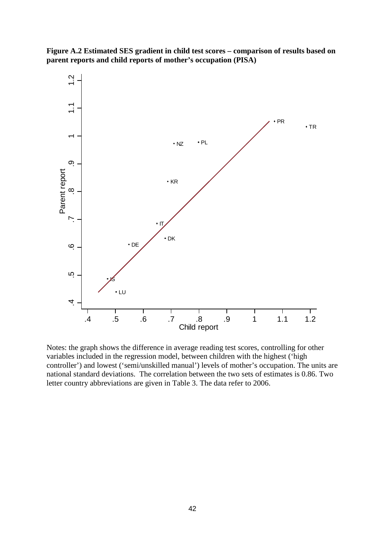

**Figure A.2 Estimated SES gradient in child test scores – comparison of results based on parent reports and child reports of mother's occupation (PISA)**

Notes: the graph shows the difference in average reading test scores, controlling for other variables included in the regression model, between children with the highest ('high controller') and lowest ('semi/unskilled manual') levels of mother's occupation. The units are national standard deviations. The correlation between the two sets of estimates is 0.86. Two letter country abbreviations are given in Table 3. The data refer to 2006.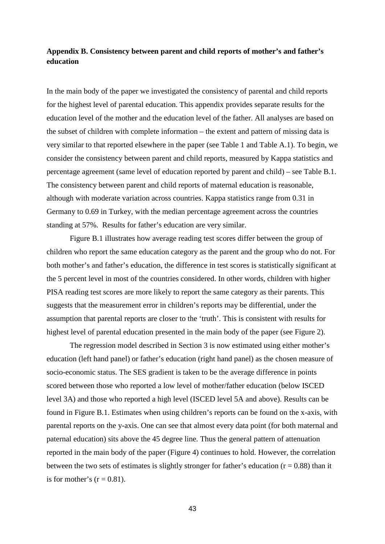# **Appendix B. Consistency between parent and child reports of mother's and father's education**

In the main body of the paper we investigated the consistency of parental and child reports for the highest level of parental education. This appendix provides separate results for the education level of the mother and the education level of the father. All analyses are based on the subset of children with complete information – the extent and pattern of missing data is very similar to that reported elsewhere in the paper (see Table 1 and Table A.1). To begin, we consider the consistency between parent and child reports, measured by Kappa statistics and percentage agreement (same level of education reported by parent and child) – see Table B.1. The consistency between parent and child reports of maternal education is reasonable, although with moderate variation across countries. Kappa statistics range from 0.31 in Germany to 0.69 in Turkey, with the median percentage agreement across the countries standing at 57%. Results for father's education are very similar.

Figure B.1 illustrates how average reading test scores differ between the group of children who report the same education category as the parent and the group who do not. For both mother's and father's education, the difference in test scores is statistically significant at the 5 percent level in most of the countries considered. In other words, children with higher PISA reading test scores are more likely to report the same category as their parents. This suggests that the measurement error in children's reports may be differential, under the assumption that parental reports are closer to the 'truth'. This is consistent with results for highest level of parental education presented in the main body of the paper (see Figure 2).

The regression model described in Section 3 is now estimated using either mother's education (left hand panel) or father's education (right hand panel) as the chosen measure of socio-economic status. The SES gradient is taken to be the average difference in points scored between those who reported a low level of mother/father education (below ISCED level 3A) and those who reported a high level (ISCED level 5A and above). Results can be found in Figure B.1. Estimates when using children's reports can be found on the x-axis, with parental reports on the y-axis. One can see that almost every data point (for both maternal and paternal education) sits above the 45 degree line. Thus the general pattern of attenuation reported in the main body of the paper (Figure 4) continues to hold. However, the correlation between the two sets of estimates is slightly stronger for father's education ( $r = 0.88$ ) than it is for mother's  $(r = 0.81)$ .

43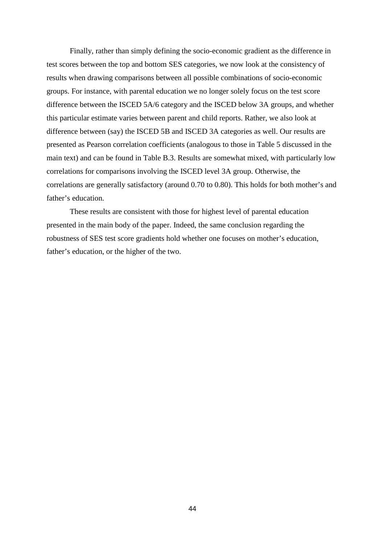Finally, rather than simply defining the socio-economic gradient as the difference in test scores between the top and bottom SES categories, we now look at the consistency of results when drawing comparisons between all possible combinations of socio-economic groups. For instance, with parental education we no longer solely focus on the test score difference between the ISCED 5A/6 category and the ISCED below 3A groups, and whether this particular estimate varies between parent and child reports. Rather, we also look at difference between (say) the ISCED 5B and ISCED 3A categories as well. Our results are presented as Pearson correlation coefficients (analogous to those in Table 5 discussed in the main text) and can be found in Table B.3. Results are somewhat mixed, with particularly low correlations for comparisons involving the ISCED level 3A group. Otherwise, the correlations are generally satisfactory (around 0.70 to 0.80). This holds for both mother's and father's education.

These results are consistent with those for highest level of parental education presented in the main body of the paper. Indeed, the same conclusion regarding the robustness of SES test score gradients hold whether one focuses on mother's education, father's education, or the higher of the two.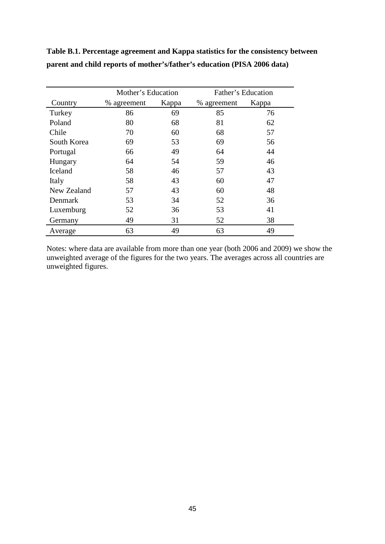|                | Mother's Education |       | Father's Education |       |  |
|----------------|--------------------|-------|--------------------|-------|--|
| Country        | % agreement        | Kappa | % agreement        | Kappa |  |
| Turkey         | 86                 | 69    | 85                 | 76    |  |
| Poland         | 80                 | 68    | 81                 | 62    |  |
| Chile          | 70                 | 60    | 68                 | 57    |  |
| South Korea    | 69                 | 53    | 69                 | 56    |  |
| Portugal       | 66                 | 49    | 64                 | 44    |  |
| Hungary        | 64                 | 54    | 59                 | 46    |  |
| <b>Iceland</b> | 58                 | 46    | 57                 | 43    |  |
| Italy          | 58                 | 43    | 60                 | 47    |  |
| New Zealand    | 57                 | 43    | 60                 | 48    |  |
| Denmark        | 53                 | 34    | 52                 | 36    |  |
| Luxemburg      | 52                 | 36    | 53                 | 41    |  |
| Germany        | 49                 | 31    | 52                 | 38    |  |
| Average        | 63                 | 49    | 63                 | 49    |  |

**Table B.1. Percentage agreement and Kappa statistics for the consistency between parent and child reports of mother's/father's education (PISA 2006 data)**

Notes: where data are available from more than one year (both 2006 and 2009) we show the unweighted average of the figures for the two years. The averages across all countries are unweighted figures.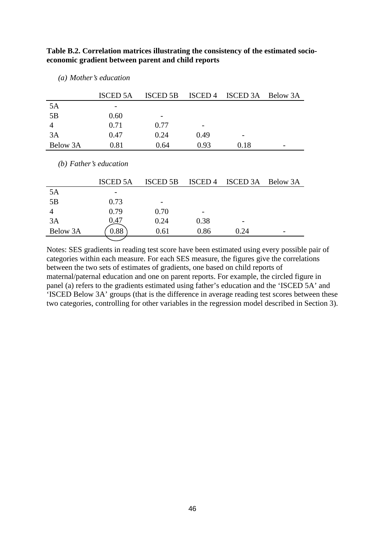| Table B.2. Correlation matrices illustrating the consistency of the estimated socio- |
|--------------------------------------------------------------------------------------|
| economic gradient between parent and child reports                                   |

|                          | <b>ISCED 5A</b> | <b>ISCED 5B</b> | ISCED <sub>4</sub> | ISCED 3A        | Below 3A |
|--------------------------|-----------------|-----------------|--------------------|-----------------|----------|
| 5A                       |                 |                 |                    |                 |          |
| 5B                       | 0.60            |                 |                    |                 |          |
| $\overline{4}$           | 0.71            | 0.77            |                    |                 |          |
| 3A                       | 0.47            | 0.24            | 0.49               |                 |          |
| Below 3A                 | 0.81            | 0.64            | 0.93               | 0.18            |          |
| $(b)$ Father's education |                 |                 |                    |                 |          |
|                          | ISCED 5A        | <b>ISCED 5B</b> | <b>ISCED</b> 4     | <b>ISCED 3A</b> | Below 3A |

*(a) Mother's education*

 $5A$ 5B 0.73 - 4 0.79 0.70 - 3A 0.47 0.24 0.38 -Below 3A  $(0.88)$  0.61 0.86 0.24

Notes: SES gradients in reading test score have been estimated using every possible pair of categories within each measure. For each SES measure, the figures give the correlations between the two sets of estimates of gradients, one based on child reports of maternal/paternal education and one on parent reports. For example, the circled figure in panel (a) refers to the gradients estimated using father's education and the 'ISCED 5A' and 'ISCED Below 3A' groups (that is the difference in average reading test scores between these two categories, controlling for other variables in the regression model described in Section 3).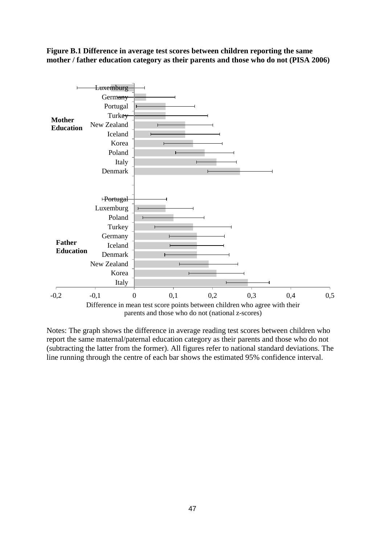**Figure B.1 Difference in average test scores between children reporting the same mother / father education category as their parents and those who do not (PISA 2006)**



Notes: The graph shows the difference in average reading test scores between children who report the same maternal/paternal education category as their parents and those who do not (subtracting the latter from the former). All figures refer to national standard deviations. The line running through the centre of each bar shows the estimated 95% confidence interval.